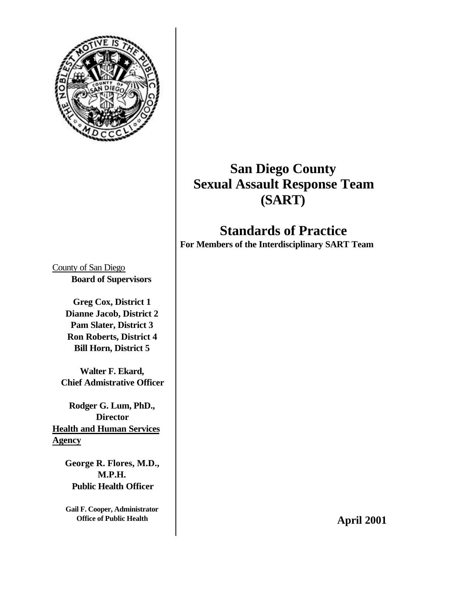

# **San Diego County Sexual Assault Response Team** (SART) **San Diego County**<br> **Sexual Assault Response Team**<br>
(SART)<br>
<br>
For Members of the Interdisciplinary SART Team<br>
ourd of Supervisors<br>
<br>
Preg Cox, District 1<br>
<br>
Ime Jacob, District 2<br>
<br>
District 3<br>
Bill Horn, District 5<br>
<br>
<br>
W

# **Standards of Practice**

County of San Diego **Board of Supervisors** 

> **Greg Cox, District 1**� **Dianne Jacob, District 2**� **Pam Slater, District 3**� **Ron Roberts, District 4**�**Bill Horn, District 5**�

 **Walter F. Ekard,**�**Chief Admistrative Officer**�

 **Director**�**Rodger G. Lum, PhD., Health and Human Services Agency** 

> **M.P.H.**� **Public Health Officer**�**George R. Flores, M.D.,**

 **Gail F. Cooper, Administrator**�**Office of Public Health** 

**April 2001**�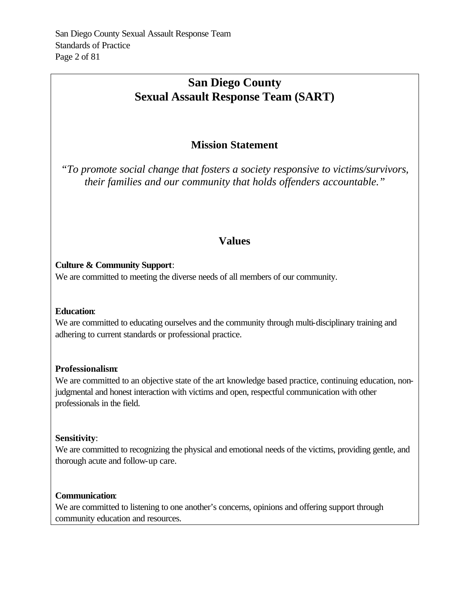# **San Diego County** � **Sexual Assault Response Team (SART)** �

# **Mission Statement**

*"To promote social change that fosters a society responsive to victims/survivors, their families and our community that holds offenders accountable."* 

# **Values**

#### **Culture & Community Support**: �

We are committed to meeting the diverse needs of all members of our community.

#### **Education**: �

adhering to current standards or professional practice. We are committed to educating ourselves and the community through multi-disciplinary training and

#### **Professionalism**:

 professionals in the field. � We are committed to an objective state of the art knowledge based practice, continuing education, nonjudgmental and honest interaction with victims and open, respectful communication with other

#### **Sensitivity**: �

thorough acute and follow-up care. We are committed to recognizing the physical and emotional needs of the victims, providing gentle, and

#### **Communication**: �

community education and resources. We are committed to listening to one another's concerns, opinions and offering support through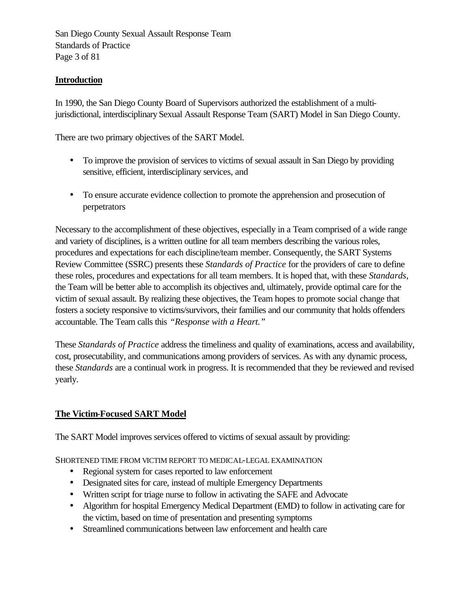San Diego County Sexual Assault Response Team Standards of Practice Page 3 of 81

#### **Introduction**

In 1990, the San Diego County Board of Supervisors authorized the establishment of a multijurisdictional, interdisciplinary Sexual Assault Response Team (SART) Model in San Diego County.

There are two primary objectives of the SART Model.

- •To improve the provision of services to victims of sexual assault in San Diego by providing sensitive, efficient, interdisciplinary services, and
- •To ensure accurate evidence collection to promote the apprehension and prosecution of perpetrators

 accountable. The Team calls this *"Response with a Heart."* Necessary to the accomplishment of these objectives, especially in a Team comprised of a wide range and variety of disciplines, is a written outline for all team members describing the various roles, procedures and expectations for each discipline/team member. Consequently, the SART Systems Review Committee (SSRC) presents these *Standards of Practice* for the providers of care to define these roles, procedures and expectations for all team members. It is hoped that, with these *Standards*, the Team will be better able to accomplish its objectives and, ultimately, provide optimal care for the victim of sexual assault. By realizing these objectives, the Team hopes to promote social change that fosters a society responsive to victims/survivors, their families and our community that holds offenders

These *Standards of Practice* address the timeliness and quality of examinations, access and availability, cost, prosecutability, and communications among providers of services. As with any dynamic process, these *Standards* are a continual work in progress. It is recommended that they be reviewed and revised yearly.

#### **The Victim-Focused SART Model**

The SART Model improves services offered to victims of sexual assault by providing:

SHORTENED TIME FROM VICTIM REPORT TO MEDICAL-LEGAL EXAMINATION

- •Regional system for cases reported to law enforcement
- •Designated sites for care, instead of multiple Emergency Departments
- •Written script for triage nurse to follow in activating the SAFE and Advocate
- •Algorithm for hospital Emergency Medical Department (EMD) to follow in activating care for the victim, based on time of presentation and presenting symptoms
- •Streamlined communications between law enforcement and health care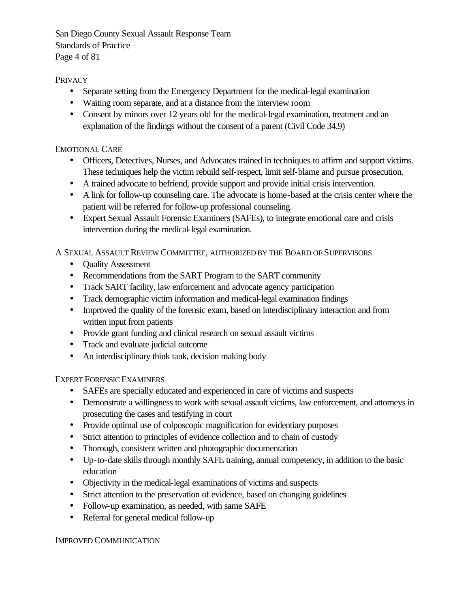San Diego County Sexual Assault Response Team Standards of Practice Page 4 of 81

#### PRIVACY

- •Separate setting from the Emergency Department for the medical-legal examination
- •Waiting room separate, and at a distance from the interview room
- •Consent by minors over 12 years old for the medical-legal examination, treatment and an explanation of the findings without the consent of a parent (Civil Code 34.9)

#### EMOTIONAL CARE

- •Officers, Detectives, Nurses, and Advocates trained in techniques to affirm and support victims. These techniques help the victim rebuild self-respect, limit self-blame and pursue prosecution.
- •A trained advocate to befriend, provide support and provide initial crisis intervention.
- •A link for follow-up counseling care. The advocate is home-based at the crisis center where the patient will be referred for follow-up professional counseling.
- •Expert Sexual Assault Forensic Examiners (SAFEs), to integrate emotional care and crisis intervention during the medical-legal examination.

A SEXUAL ASSAULT REVIEW COMMITTEE, AUTHORIZED BY THE BOARD OF SUPERVISORS

- Quality Assessment
- Recommendations from the SART Program to the SART community
- •Track SART facility, law enforcement and advocate agency participation
- •Track demographic victim information and medical-legal examination findings
- •Improved the quality of the forensic exam, based on interdisciplinary interaction and from written input from patients
- Provide grant funding and clinical research on sexual assault victims
- •Track and evaluate judicial outcome
- An interdisciplinary think tank, decision making body

EXPERT FORENSIC EXAMINERS

- •SAFEs are specially educated and experienced in care of victims and suspects
- •Demonstrate a willingness to work with sexual assault victims, law enforcement, and attorneys in prosecuting the cases and testifying in court
- •Provide optimal use of colposcopic magnification for evidentiary purposes
- •Strict attention to principles of evidence collection and to chain of custody
- •Thorough, consistent written and photographic documentation
- •Up-to-date skills through monthly SAFE training, annual competency, in addition to the basic education
- •Objectivity in the medical-legal examinations of victims and suspects
- •Strict attention to the preservation of evidence, based on changing guidelines
- •Follow-up examination, as needed, with same SAFE
- •Referral for general medical follow-up

IMPROVED COMMUNICATION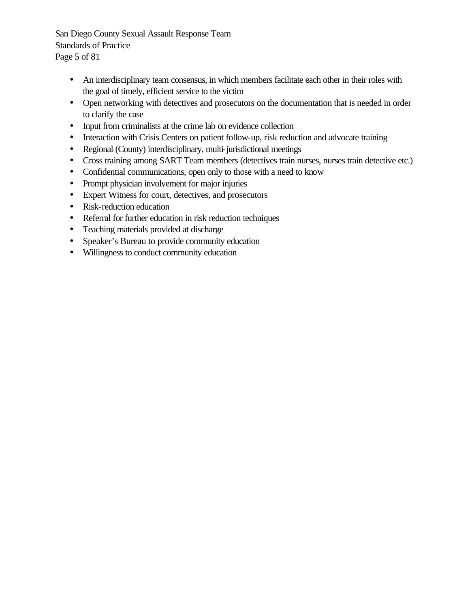San Diego County Sexual Assault Response Team Standards of Practice Page 5 of 81

- An interdisciplinary team consensus, in which members facilitate each other in their roles with the goal of timely, efficient service to the victim
- •Open networking with detectives and prosecutors on the documentation that is needed in order to clarify the case
- Input from criminalists at the crime lab on evidence collection
- Interaction with Crisis Centers on patient follow-up, risk reduction and advocate training
- •Regional (County) interdisciplinary, multi-jurisdictional meetings
- •Cross training among SART Team members (detectives train nurses, nurses train detective etc.)
- Confidential communications, open only to those with a need to know
- Prompt physician involvement for major injuries
- •Expert Witness for court, detectives, and prosecutors
- Risk-reduction education
- Referral for further education in risk reduction techniques
- •Teaching materials provided at discharge
- •Speaker's Bureau to provide community education
- •Willingness to conduct community education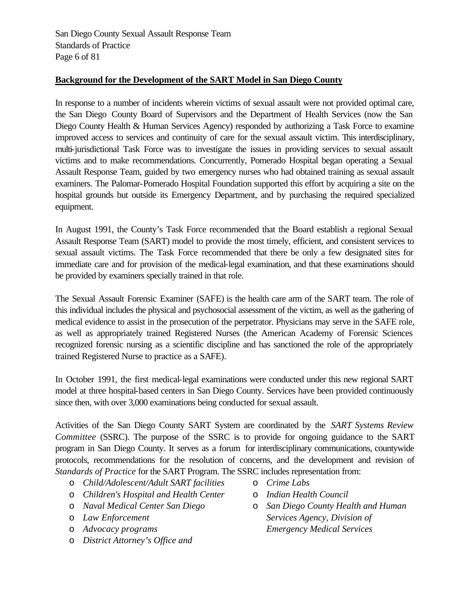#### **Background for the Development of the SART Model in San Diego County**

In response to a number of incidents wherein victims of sexual assault were not provided optimal care, the San Diego County Board of Supervisors and the Department of Health Services (now the San Diego County Health & Human Services Agency) responded by authorizing a Task Force to examine improved access to services and continuity of care for the sexual assault victim. This interdisciplinary, multi-jurisdictional Task Force was to investigate the issues in providing services to sexual assault victims and to make recommendations. Concurrently, Pomerado Hospital began operating a Sexual Assault Response Team, guided by two emergency nurses who had obtained training as sexual assault examiners. The Palomar-Pomerado Hospital Foundation supported this effort by acquiring a site on the hospital grounds but outside its Emergency Department, and by purchasing the required specialized equipment.

In August 1991, the County's Task Force recommended that the Board establish a regional Sexual Assault Response Team (SART) model to provide the most timely, efficient, and consistent services to sexual assault victims. The Task Force recommended that there be only a few designated sites for immediate care and for provision of the medical-legal examination, and that these examinations should be provided by examiners specially trained in that role.

The Sexual Assault Forensic Examiner (SAFE) is the health care arm of the SART team. The role of this individual includes the physical and psychosocial assessment of the victim, as well as the gathering of medical evidence to assist in the prosecution of the perpetrator. Physicians may serve in the SAFE role, as well as appropriately trained Registered Nurses (the American Academy of Forensic Sciences recognized forensic nursing as a scientific discipline and has sanctioned the role of the appropriately trained Registered Nurse to practice as a SAFE).

In October 1991, the first medical-legal examinations were conducted under this new regional SART model at three hospital-based centers in San Diego County. Services have been provided continuously since then, with over 3,000 examinations being conducted for sexual assault.

Activities of the San Diego County SART System are coordinated by the *SART Systems Review Committee* (SSRC). The purpose of the SSRC is to provide for ongoing guidance to the SART program in San Diego County. It serves as a forum for interdisciplinary communications, countywide protocols, recommendations for the resolution of concerns, and the development and revision of *Standards of Practice* for the SART Program. The SSRC includes representation from:

- o *Child/Adolescent/Adult SART facilities* o *Crime Labs*
- o *Children's Hospital and Health Center* o *Indian Health Council*
- 
- 
- 
- o *District Attorney's Office and*
- 
- 
- o *Naval Medical Center San Diego* o *San Diego County Health and Human*  o *Law Enforcement Services Agency, Division of*  o *Advocacy programs Emergency Medical Services*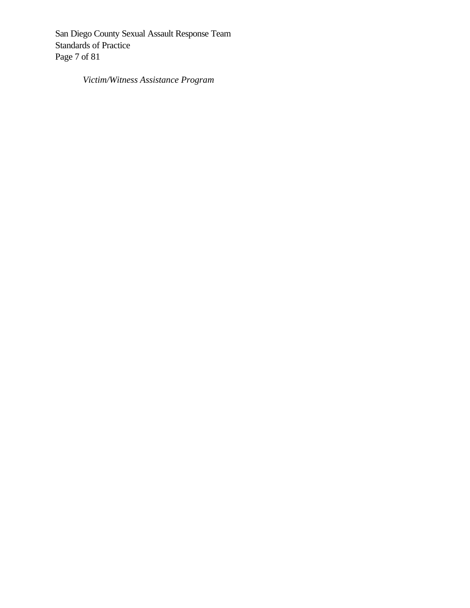San Diego County Sexual Assault Response Team Standards of Practice Page 7 of 81

*Victim/Witness Assistance Program*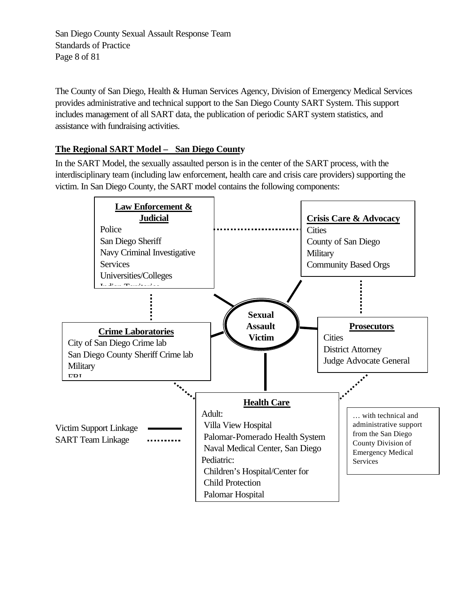San Diego County Sexual Assault Response Team Standards of Practice Page 8 of 81

The County of San Diego, Health & Human Services Agency, Division of Emergency Medical Services provides administrative and technical support to the San Diego County SART System. This support includes management of all SART data, the publication of periodic SART system statistics, and assistance with fundraising activities.

# **The Regional SART Model – San Diego County**

In the SART Model, the sexually assaulted person is in the center of the SART process, with the interdisciplinary team (including law enforcement, health care and crisis care providers) supporting the victim. In San Diego County, the SART model contains the following components:

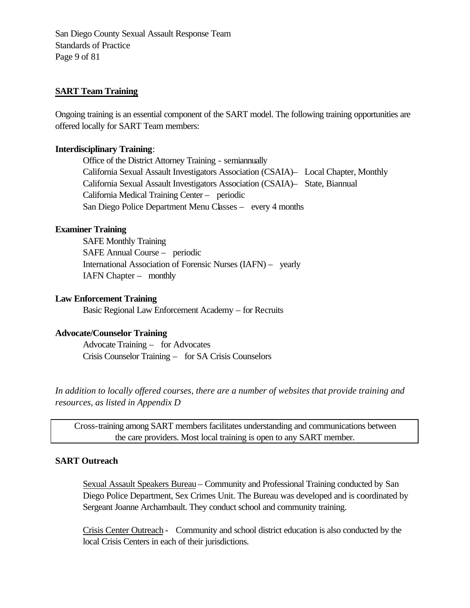San Diego County Sexual Assault Response Team Standards of Practice Page 9 of 81

#### **SART Team Training**

Ongoing training is an essential component of the SART model. The following training opportunities are offered locally for SART Team members:

#### **Interdisciplinary Training**:

Office of the District Attorney Training - semiannually California Sexual Assault Investigators Association (CSAIA)– Local Chapter, Monthly California Sexual Assault Investigators Association (CSAIA)– State, Biannual California Medical Training Center – periodic San Diego Police Department Menu Classes – every 4 months

#### **Examiner Training**

SAFE Monthly Training SAFE Annual Course – periodic International Association of Forensic Nurses (IAFN) – yearly IAFN Chapter – monthly

#### **Law Enforcement Training**

Basic Regional Law Enforcement Academy – for Recruits

#### **Advocate/Counselor Training**

Advocate Training – for Advocates Crisis Counselor Training – for SA Crisis Counselors �

*In addition to locally offered courses, there are a number of websites that provide training and resources, as listed in Appendix D* 

Cross-training among SART members facilitates understanding and communications between the care providers. Most local training is open to any SART member.

#### **SART Outreach**

Sexual Assault Speakers Bureau – Community and Professional Training conducted by San Diego Police Department, Sex Crimes Unit. The Bureau was developed and is coordinated by Sergeant Joanne Archambault. They conduct school and community training.

Crisis Center Outreach - Community and school district education is also conducted by the local Crisis Centers in each of their jurisdictions.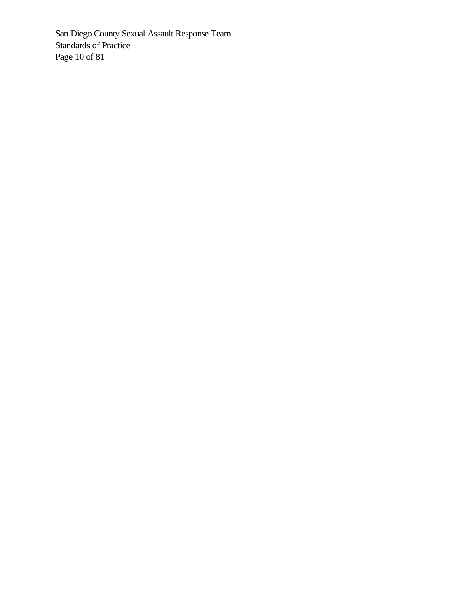San Diego County Sexual Assault Response Team Standards of Practice Page 10 of 81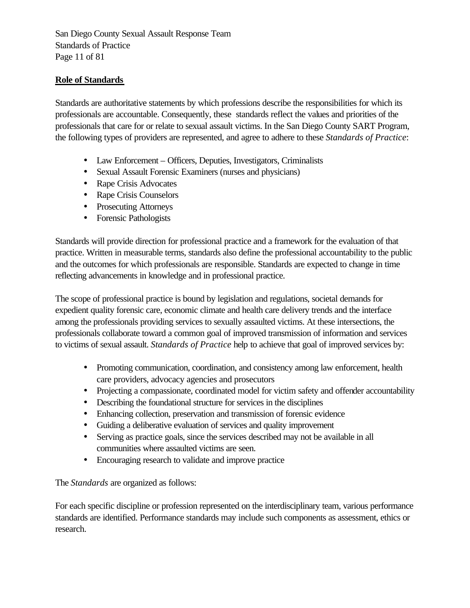San Diego County Sexual Assault Response Team Standards of Practice Page 11 of 81

#### **Role of Standards**

Standards are authoritative statements by which professions describe the responsibilities for which its professionals are accountable. Consequently, these standards reflect the values and priorities of the professionals that care for or relate to sexual assault victims. In the San Diego County SART Program, the following types of providers are represented, and agree to adhere to these *Standards of Practice*:

- •Law Enforcement Officers, Deputies, Investigators, Criminalists
- Sexual Assault Forensic Examiners (nurses and physicians)
- Rape Crisis Advocates
- Rape Crisis Counselors
- Prosecuting Attorneys
- Forensic Pathologists

Standards will provide direction for professional practice and a framework for the evaluation of that practice. Written in measurable terms, standards also define the professional accountability to the public and the outcomes for which professionals are responsible. Standards are expected to change in time reflecting advancements in knowledge and in professional practice.

The scope of professional practice is bound by legislation and regulations, societal demands for expedient quality forensic care, economic climate and health care delivery trends and the interface among the professionals providing services to sexually assaulted victims. At these intersections, the professionals collaborate toward a common goal of improved transmission of information and services to victims of sexual assault. *Standards of Practice* help to achieve that goal of improved services by:

- Promoting communication, coordination, and consistency among law enforcement, health care providers, advocacy agencies and prosecutors
- Projecting a compassionate, coordinated model for victim safety and offender accountability
- •Describing the foundational structure for services in the disciplines
- •Enhancing collection, preservation and transmission of forensic evidence
- •Guiding a deliberative evaluation of services and quality improvement
- •Serving as practice goals, since the services described may not be available in all communities where assaulted victims are seen.
- •Encouraging research to validate and improve practice

#### The *Standards* are organized as follows:

For each specific discipline or profession represented on the interdisciplinary team, various performance standards are identified. Performance standards may include such components as assessment, ethics or research.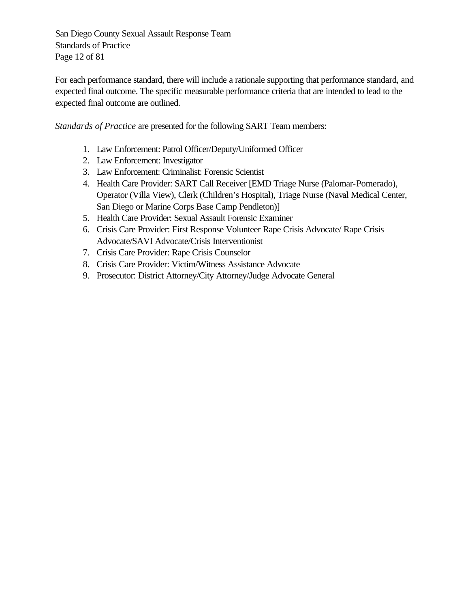San Diego County Sexual Assault Response Team Standards of Practice Page 12 of 81

For each performance standard, there will include a rationale supporting that performance standard, and expected final outcome. The specific measurable performance criteria that are intended to lead to the expected final outcome are outlined.

*Standards of Practice* are presented for the following SART Team members:

- 1. Law Enforcement: Patrol Officer/Deputy/Uniformed Officer
- 2. Law Enforcement: Investigator
- 3. Law Enforcement: Criminalist: Forensic Scientist
- 4. Health Care Provider: SART Call Receiver [EMD Triage Nurse (Palomar-Pomerado), Operator (Villa View), Clerk (Children's Hospital), Triage Nurse (Naval Medical Center, San Diego or Marine Corps Base Camp Pendleton)]
- 5. Health Care Provider: Sexual Assault Forensic Examiner
- 6. Crisis Care Provider: First Response Volunteer Rape Crisis Advocate/ Rape Crisis Advocate/SAVI Advocate/Crisis Interventionist
- 7. Crisis Care Provider: Rape Crisis Counselor
- 8. Crisis Care Provider: Victim/Witness Assistance Advocate
- 9. Prosecutor: District Attorney/City Attorney/Judge Advocate General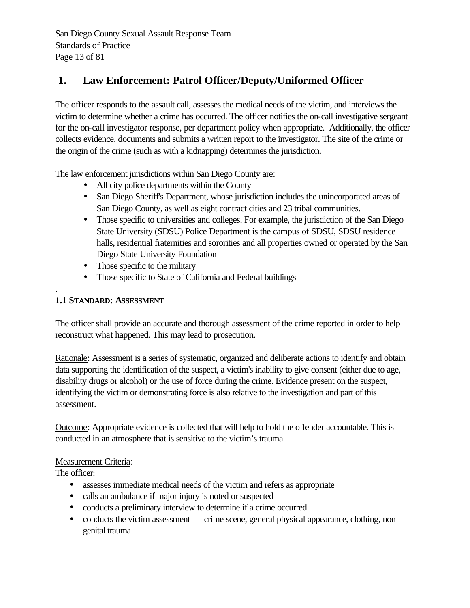San Diego County Sexual Assault Response Team Standards of Practice Page 13 of 81

# **1. Law Enforcement: Patrol Officer/Deputy/Uniformed Officer**

The officer responds to the assault call, assesses the medical needs of the victim, and interviews the victim to determine whether a crime has occurred. The officer notifies the on-call investigative sergeant for the on-call investigator response, per department policy when appropriate. Additionally, the officer collects evidence, documents and submits a written report to the investigator. The site of the crime or the origin of the crime (such as with a kidnapping) determines the jurisdiction.

The law enforcement jurisdictions within San Diego County are:

- All city police departments within the County
- San Diego Sheriff's Department, whose jurisdiction includes the unincorporated areas of San Diego County, as well as eight contract cities and 23 tribal communities.
- Those specific to universities and colleges. For example, the jurisdiction of the San Diego State University (SDSU) Police Department is the campus of SDSU, SDSU residence halls, residential fraternities and sororities and all properties owned or operated by the San Diego State University Foundation
- Those specific to the military
- Those specific to State of California and Federal buildings

#### **1.1 STANDARD: ASSESSMENT**

The officer shall provide an accurate and thorough assessment of the crime reported in order to help reconstruct what happened. This may lead to prosecution.

Rationale: Assessment is a series of systematic, organized and deliberate actions to identify and obtain data supporting the identification of the suspect, a victim's inability to give consent (either due to age, disability drugs or alcohol) or the use of force during the crime. Evidence present on the suspect, identifying the victim or demonstrating force is also relative to the investigation and part of this assessment.

Outcome: Appropriate evidence is collected that will help to hold the offender accountable. This is conducted in an atmosphere that is sensitive to the victim's trauma.

#### Measurement Criteria:

The officer:

.

- assesses immediate medical needs of the victim and refers as appropriate
- calls an ambulance if major injury is noted or suspected
- •conducts a preliminary interview to determine if a crime occurred
- conducts the victim assessment crime scene, general physical appearance, clothing, nongenital trauma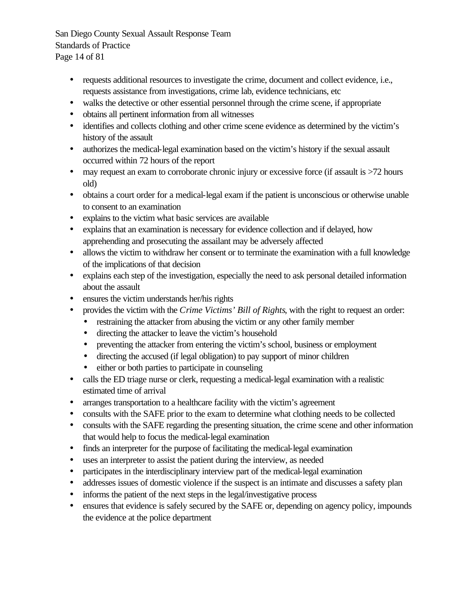San Diego County Sexual Assault Response Team Standards of Practice Page 14 of 81

- •requests additional resources to investigate the crime, document and collect evidence, i.e., requests assistance from investigations, crime lab, evidence technicians, etc
- walks the detective or other essential personnel through the crime scene, if appropriate
- obtains all pertinent information from all witnesses
- •identifies and collects clothing and other crime scene evidence as determined by the victim's history of the assault
- authorizes the medical-legal examination based on the victim's history if the sexual assault occurred within 72 hours of the report
- may request an exam to corroborate chronic injury or excessive force (if assault is >72 hours old)
- obtains a court order for a medical-legal exam if the patient is unconscious or otherwise unable to consent to an examination
- explains to the victim what basic services are available
- explains that an examination is necessary for evidence collection and if delayed, how apprehending and prosecuting the assailant may be adversely affected
- allows the victim to withdraw her consent or to terminate the examination with a full knowledge of the implications of that decision
- explains each step of the investigation, especially the need to ask personal detailed information about the assault
- ensures the victim understands her/his rights
- •provides the victim with the *Crime Victims' Bill of Rights*, with the right to request an order:
	- restraining the attacker from abusing the victim or any other family member
	- directing the attacker to leave the victim's household
	- preventing the attacker from entering the victim's school, business or employment
	- directing the accused (if legal obligation) to pay support of minor children
	- either or both parties to participate in counseling
- calls the ED triage nurse or clerk, requesting a medical-legal examination with a realistic estimated time of arrival
- arranges transportation to a healthcare facility with the victim's agreement
- consults with the SAFE prior to the exam to determine what clothing needs to be collected
- consults with the SAFE regarding the presenting situation, the crime scene and other information that would help to focus the medical-legal examination
- finds an interpreter for the purpose of facilitating the medical-legal examination
- •uses an interpreter to assist the patient during the interview, as needed
- participates in the interdisciplinary interview part of the medical-legal examination
- addresses issues of domestic violence if the suspect is an intimate and discusses a safety plan
- informs the patient of the next steps in the legal/investigative process
- ensures that evidence is safely secured by the SAFE or, depending on agency policy, impounds the evidence at the police department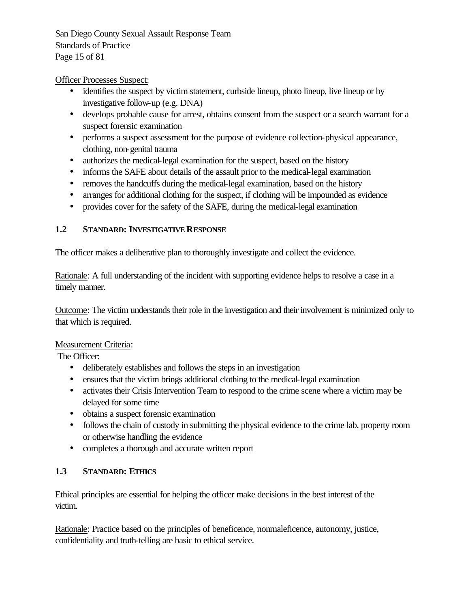San Diego County Sexual Assault Response Team<br>
Standards of Practice<br>
Page 15 of 81<br>
Officer Processes Suspect:<br>
• identifies the suspect by victim statement, cu<br>
investigative follow-up (e.g. DNA)<br>
• develops probable cau Standards of Practice Page 15 of 81

Officer Processes Suspect:

- identifies the suspect by victim statement, curbside lineup, photo lineup, live lineup or by investigative follow-up (e.g. DNA) �
- •develops probable cause for arrest, obtains consent from the suspect or a search warrant for a suspect forensic examination
- performs a suspect assessment for the purpose of evidence collection-physical appearance, clothing, non-genital trauma
- authorizes the medical-legal examination for the suspect, based on the history
- informs the SAFE about details of the assault prior to the medical-legal examination
- removes the handcuffs during the medical-legal examination, based on the history
- arranges for additional clothing for the suspect, if clothing will be impounded as evidence
- $\bullet$ •provides cover for the safety of the SAFE, during the medical-legal examination

#### **1.2 STANDARD: INVESTIGATIVE RESPONSE**

The officer makes a deliberative plan to thoroughly investigate and collect the evidence.

Rationale: A full understanding of the incident with supporting evidence helps to resolve a case in a timely manner.

Outcome: The victim understands their role in the investigation and their involvement is minimized only to that which is required.

#### Measurement Criteria:

The Officer:

- •deliberately establishes and follows the steps in an investigation
- ensures that the victim brings additional clothing to the medical-legal examination
- activates their Crisis Intervention Team to respond to the crime scene where a victim may be delayed for some time
- obtains a suspect forensic examination
- follows the chain of custody in submitting the physical evidence to the crime lab, property room or otherwise handling the evidence
- completes a thorough and accurate written report

#### **1.3 STANDARD: ETHICS**

Ethical principles are essential for helping the officer make decisions in the best interest of the victim.

Rationale: Practice based on the principles of beneficence, nonmaleficence, autonomy, justice, confidentiality and truth-telling are basic to ethical service.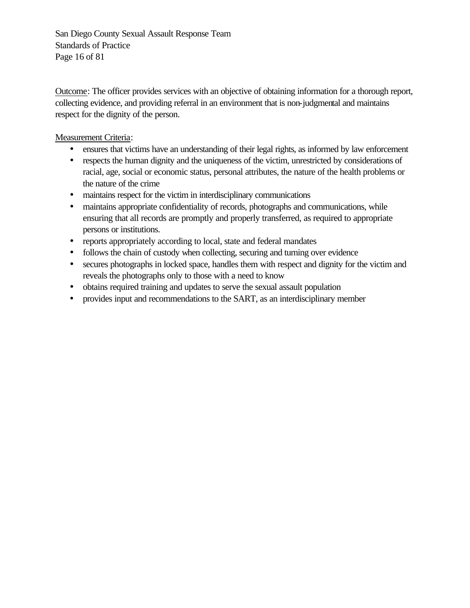San Diego County Sexual Assault Response Team Standards of Practice Page 16 of 81

Outcome: The officer provides services with an objective of obtaining information for a thorough report, collecting evidence, and providing referral in an environment that is non-judgmental and maintains respect for the dignity of the person.

Measurement Criteria:

- ensures that victims have an understanding of their legal rights, as informed by law enforcement
- respects the human dignity and the uniqueness of the victim, unrestricted by considerations of racial, age, social or economic status, personal attributes, the nature of the health problems or the nature of the crime
- maintains respect for the victim in interdisciplinary communications
- •maintains appropriate confidentiality of records, photographs and communications, while ensuring that all records are promptly and properly transferred, as required to appropriate persons or institutions.
- reports appropriately according to local, state and federal mandates
- follows the chain of custody when collecting, securing and turning over evidence
- secures photographs in locked space, handles them with respect and dignity for the victim and reveals the photographs only to those with a need to know
- obtains required training and updates to serve the sexual assault population
- •provides input and recommendations to the SART, as an interdisciplinary member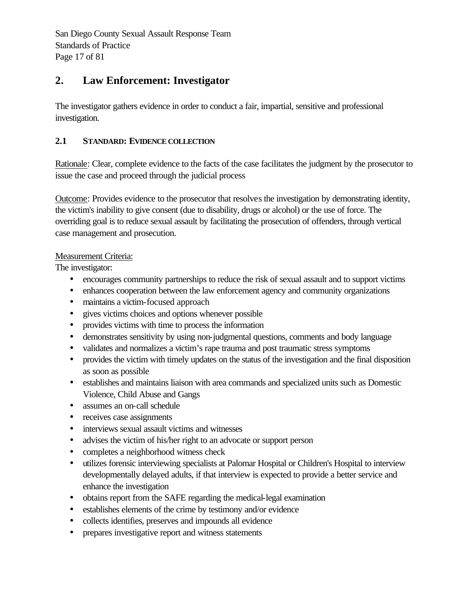San Diego County Sexual Assault Response Team Standards of Practice Page 17 of 81

# **2. Law Enforcement: Investigator**

The investigator gathers evidence in order to conduct a fair, impartial, sensitive and professional investigation.

#### **2.1 STANDARD: EVIDENCE COLLECTION**

Rationale: Clear, complete evidence to the facts of the case facilitates the judgment by the prosecutor to issue the case and proceed through the judicial process

Outcome: Provides evidence to the prosecutor that resolves the investigation by demonstrating identity, the victim's inability to give consent (due to disability, drugs or alcohol) or the use of force. The overriding goal is to reduce sexual assault by facilitating the prosecution of offenders, through vertical case management and prosecution.

#### Measurement Criteria:

The investigator:

- encourages community partnerships to reduce the risk of sexual assault and to support victims
- enhances cooperation between the law enforcement agency and community organizations
- maintains a victim-focused approach
- gives victims choices and options whenever possible
- provides victims with time to process the information
- •demonstrates sensitivity by using non-judgmental questions, comments and body language
- •validates and normalizes a victim's rape trauma and post traumatic stress symptoms
- provides the victim with timely updates on the status of the investigation and the final disposition as soon as possible
- establishes and maintains liaison with area commands and specialized units such as Domestic Violence, Child Abuse and Gangs
- assumes an on-call schedule
- receives case assignments
- interviews sexual assault victims and witnesses
- advises the victim of his/her right to an advocate or support person
- completes a neighborhood witness check
- •utilizes forensic interviewing specialists at Palomar Hospital or Children's Hospital to interview developmentally delayed adults, if that interview is expected to provide a better service and enhance the investigation
- •obtains report from the SAFE regarding the medical-legal examination
- establishes elements of the crime by testimony and/or evidence
- $\bullet$ •collects identifies, preserves and impounds all evidence
- $\bullet$ •prepares investigative report and witness statements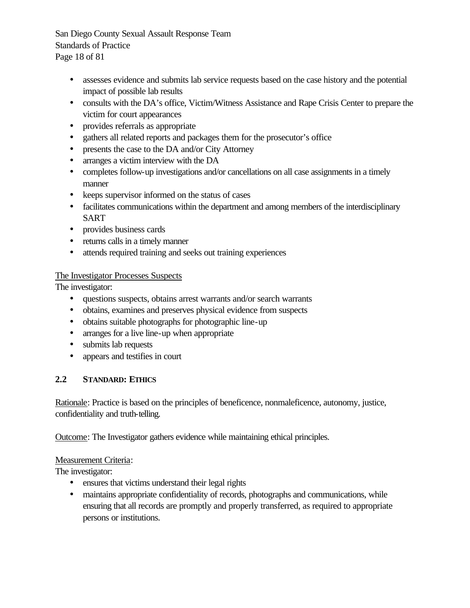San Diego County Sexual Assault Response Team Standards of Practice Page 18 of 81

- assesses evidence and submits lab service requests based on the case history and the potential impact of possible lab results
- consults with the DA's office, Victim/Witness Assistance and Rape Crisis Center to prepare the victim for court appearances
- provides referrals as appropriate
- •gathers all related reports and packages them for the prosecutor's office
- presents the case to the DA and/or City Attorney
- arranges a victim interview with the DA
- completes follow-up investigations and/or cancellations on all case assignments in a timely manner
- keeps supervisor informed on the status of cases
- •facilitates communications within the department and among members of the interdisciplinary SART
- provides business cards
- returns calls in a timely manner
- attends required training and seeks out training experiences

#### The Investigator Processes Suspects

The investigator:

- questions suspects, obtains arrest warrants and/or search warrants �
- obtains, examines and preserves physical evidence from suspects
- obtains suitable photographs for photographic line-up
- arranges for a live line-up when appropriate
- submits lab requests
- appears and testifies in court

#### **2.2 STANDARD: ETHICS**

Rationale: Practice is based on the principles of beneficence, nonmaleficence, autonomy, justice, confidentiality and truth-telling.

Outcome: The Investigator gathers evidence while maintaining ethical principles.

#### Measurement Criteria:

The investigator:

- ensures that victims understand their legal rights
- •maintains appropriate confidentiality of records, photographs and communications, while ensuring that all records are promptly and properly transferred, as required to appropriate persons or institutions.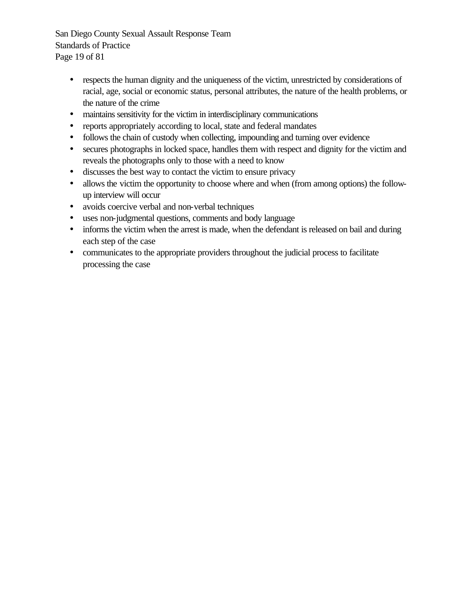San Diego County Sexual Assault Response Team Standards of Practice Page 19 of 81

- respects the human dignity and the uniqueness of the victim, unrestricted by considerations of racial, age, social or economic status, personal attributes, the nature of the health problems, or the nature of the crime
- •maintains sensitivity for the victim in interdisciplinary communications
- reports appropriately according to local, state and federal mandates
- follows the chain of custody when collecting, impounding and turning over evidence
- secures photographs in locked space, handles them with respect and dignity for the victim and reveals the photographs only to those with a need to know
- discusses the best way to contact the victim to ensure privacy
- $\bullet$ •allows the victim the opportunity to choose where and when (from among options) the followup interview will occur
- •avoids coercive verbal and non-verbal techniques
- •uses non-judgmental questions, comments and body language
- informs the victim when the arrest is made, when the defendant is released on bail and during each step of the case
- communicates to the appropriate providers throughout the judicial process to facilitate processing the case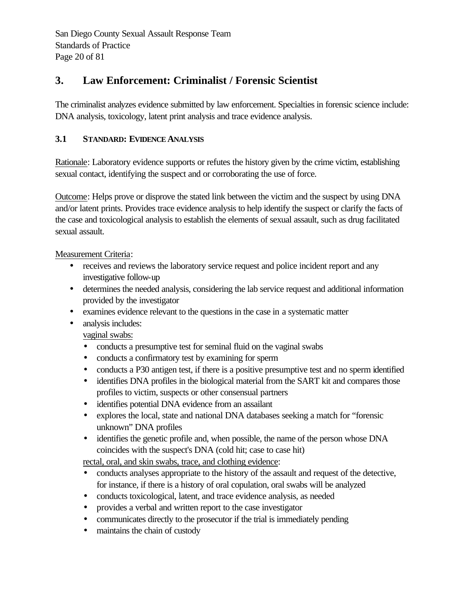San Diego County Sexual Assault Response Team Standards of Practice Page 20 of 81

# **3. Law Enforcement: Criminalist / Forensic Scientist**

The criminalist analyzes evidence submitted by law enforcement. Specialties in forensic science include: DNA analysis, toxicology, latent print analysis and trace evidence analysis.

#### **3.1 STANDARD: EVIDENCEANALYSIS**

Rationale: Laboratory evidence supports or refutes the history given by the crime victim, establishing sexual contact, identifying the suspect and or corroborating the use of force.

Outcome: Helps prove or disprove the stated link between the victim and the suspect by using DNA and/or latent prints. Provides trace evidence analysis to help identify the suspect or clarify the facts of the case and toxicological analysis to establish the elements of sexual assault, such as drug facilitated sexual assault.

Measurement Criteria:

- receives and reviews the laboratory service request and police incident report and any investigative follow-up�
- •determines the needed analysis, considering the lab service request and additional information provided by the investigator
- examines evidence relevant to the questions in the case in a systematic matter
- analysis includes:

vaginal swabs:

- conducts a presumptive test for seminal fluid on the vaginal swabs
- conducts a confirmatory test by examining for sperm
- conducts a P30 antigen test, if there is a positive presumptive test and no sperm identified
- identifies DNA profiles in the biological material from the SART kit and compares those profiles to victim, suspects or other consensual partners
- •identifies potential DNA evidence from an assailant
- explores the local, state and national DNA databases seeking a match for "forensic unknown" DNA profiles
- identifies the genetic profile and, when possible, the name of the person whose DNA coincides with the suspect's DNA (cold hit; case to case hit) �

rectal, oral, and skin swabs, trace, and clothing evidence:

- conducts analyses appropriate to the history of the assault and request of the detective, for instance, if there is a history of oral copulation, oral swabs will be analyzed
- •conducts toxicological, latent, and trace evidence analysis, as needed
- $\bullet$ •provides a verbal and written report to the case investigator
- communicates directly to the prosecutor if the trial is immediately pending
- maintains the chain of custody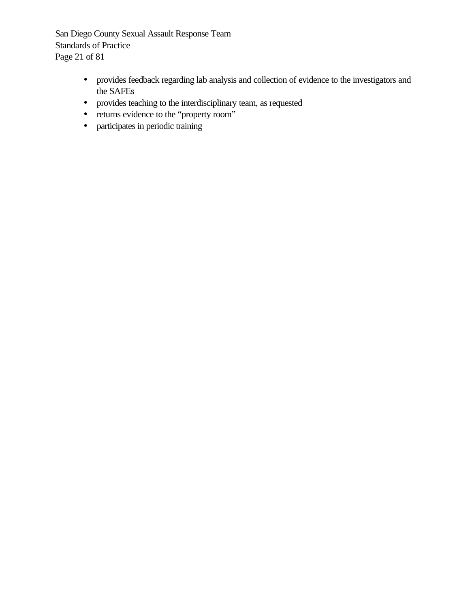San Diego County Sexual Assault Response Team Standards of Practice Page 21 of 81

- •provides feedback regarding lab analysis and collection of evidence to the investigators and the SAFEs
- •provides teaching to the interdisciplinary team, as requested
- returns evidence to the "property room"
- participates in periodic training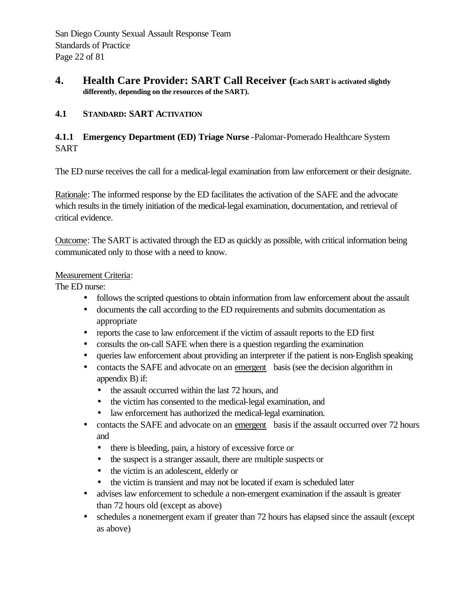San Diego County Sexual Assault Response Team Standards of Practice Page 22 of 81

#### 4. **4. Health Care Provider: SART Call Receiver (Each SART is activated slightly differently, depending on the resources of the SART).**

#### $4.1$ **5TANDARD: SART ACTIVATION**

#### **4.1.1 Emergency Department (ED) Triage Nurse** -Palomar-Pomerado Healthcare System SART

The ED nurse receives the call for a medical-legal examination from law enforcement or their designate.

Rationale: The informed response by the ED facilitates the activation of the SAFE and the advocate which results in the timely initiation of the medical-legal examination, documentation, and retrieval of critical evidence.

Outcome: The SART is activated through the ED as quickly as possible, with critical information being communicated only to those with a need to know.

#### Measurement Criteria:

The ED nurse:

- follows the scripted questions to obtain information from law enforcement about the assault
- •documents the call according to the ED requirements and submits documentation as appropriate
- reports the case to law enforcement if the victim of assault reports to the ED first
- consults the on-call SAFE when there is a question regarding the examination
- queries law enforcement about providing an interpreter if the patient is non-English speaking
- contacts the SAFE and advocate on an emergent basis (see the decision algorithm in appendix B) if:
	- the assault occurred within the last 72 hours, and
	- $\bullet$ the victim has consented to the medical-legal examination, and
	- •law enforcement has authorized the medical-legal examination.
- contacts the SAFE and advocate on an emergent basis if the assault occurred over 72 hours and
	- there is bleeding, pain, a history of excessive force or
	- the suspect is a stranger assault, there are multiple suspects or
	- the victim is an adolescent, elderly or
	- $\bullet$ the victim is transient and may not be located if exam is scheduled later
- •advises law enforcement to schedule a non-emergent examination if the assault is greater than 72 hours old (except as above)
- schedules a nonemergent exam if greater than 72 hours has elapsed since the assault (except as above)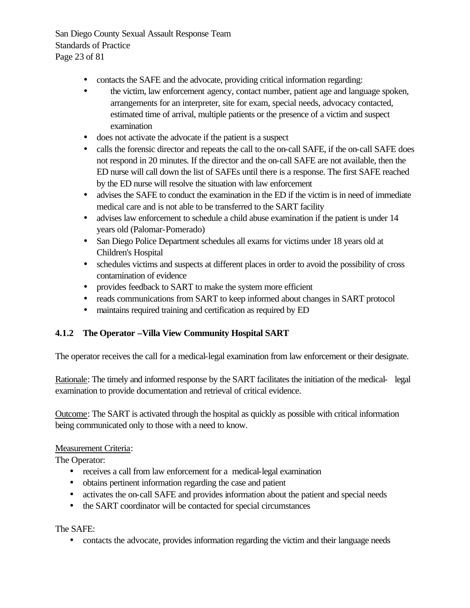Standards of Practice Page 23 of 81

- contacts the SAFE and the advocate, providing critical information regarding:
- $\bullet$ •the victim, law enforcement agency, contact number, patient age and language spoken, arrangements for an interpreter, site for exam, special needs, advocacy contacted, estimated time of arrival, multiple patients or the presence of a victim and suspect examination
- does not activate the advocate if the patient is a suspect
- calls the forensic director and repeats the call to the on-call SAFE, if the on-call SAFE does San Diego County Sexual Assault Response Team<br>
Standards of Practice<br>  $Page 23$  of 81<br>
• contacts the SAFE and the advocate, procure victim, law enforcement agency<br>
arrangements for an interpreter, site<br>
estimated time of a not respond in 20 minutes. If the director and the on-call SAFE are not available, then the ED nurse will call down the list of SAFEs until there is a response. The first SAFE reached by the ED nurse will resolve the situation with law enforcement
	- advises the SAFE to conduct the examination in the ED if the victim is in need of immediate medical care and is not able to be transferred to the SART facility
	- advises law enforcement to schedule a child abuse examination if the patient is under 14 years old (Palomar-Pomerado)
	- •San Diego Police Department schedules all exams for victims under 18 years old at Children's Hospital
	- •schedules victims and suspects at different places in order to avoid the possibility of cross contamination of evidence
	- provides feedback to SART to make the system more efficient
	- reads communications from SART to keep informed about changes in SART protocol
	- •maintains required training and certification as required by ED

#### **4.1.2 The Operator –Villa View Community Hospital SART**

The operator receives the call for a medical-legal examination from law enforcement or their designate.

Rationale: The timely and informed response by the SART facilitates the initiation of the medical- legal examination to provide documentation and retrieval of critical evidence.

Outcome: The SART is activated through the hospital as quickly as possible with critical information being communicated only to those with a need to know.

#### Measurement Criteria:

The Operator:

- receives a call from law enforcement for a medical-legal examination
- obtains pertinent information regarding the case and patient
- activates the on-call SAFE and provides information about the patient and special needs
- the SART coordinator will be contacted for special circumstances

The SAFE:

• contacts the advocate, provides information regarding the victim and their language needs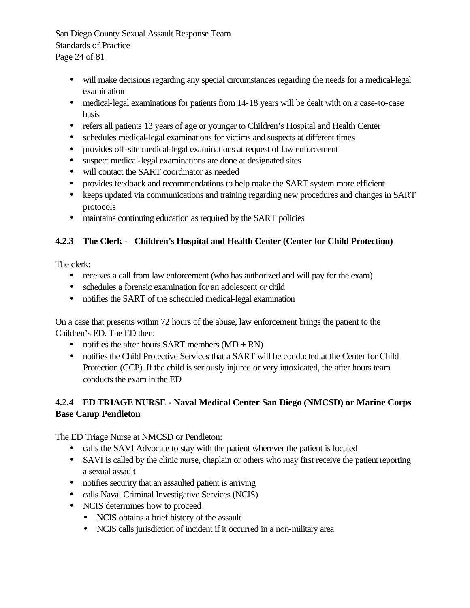San Diego County Sexual Assault Response Team Standards of Practice Page 24 of 81

- •will make decisions regarding any special circumstances regarding the needs for a medical-legal examination
- medical-legal examinations for patients from 14-18 years will be dealt with on a case-to-case basis
- •refers all patients 13 years of age or younger to Children's Hospital and Health Center
- •schedules medical-legal examinations for victims and suspects at different times
- •provides off-site medical-legal examinations at request of law enforcement
- suspect medical-legal examinations are done at designated sites
- •will contact the SART coordinator as needed
- •provides feedback and recommendations to help make the SART system more efficient
- keeps updated via communications and training regarding new procedures and changes in SART protocols
- maintains continuing education as required by the SART policies

# **4.2.3 The Clerk - Children's Hospital and Health Center (Center for Child Protection)**

The clerk:

- receives a call from law enforcement (who has authorized and will pay for the exam)
- schedules a forensic examination for an adolescent or child
- notifies the SART of the scheduled medical-legal examination

On a case that presents within 72 hours of the abuse, law enforcement brings the patient to the Children's ED. The ED then:

- notifies the after hours SART members  $(MD + RN)$
- notifies the Child Protective Services that a SART will be conducted at the Center for Child Protection (CCP). If the child is seriously injured or very intoxicated, the after hours team conducts the exam in the ED

# **4.2.4 ED TRIAGE NURSE - Naval Medical Center San Diego (NMCSD) or Marine Corps Base Camp Pendleton**

The ED Triage Nurse at NMCSD or Pendleton:

- calls the SAVI Advocate to stay with the patient wherever the patient is located
- SAVI is called by the clinic nurse, chaplain or others who may first receive the patient reporting a sexual assault
- notifies security that an assaulted patient is arriving
- calls Naval Criminal Investigative Services (NCIS)
- NCIS determines how to proceed
	- •NCIS obtains a brief history of the assault
	- •NCIS calls jurisdiction of incident if it occurred in a non-military area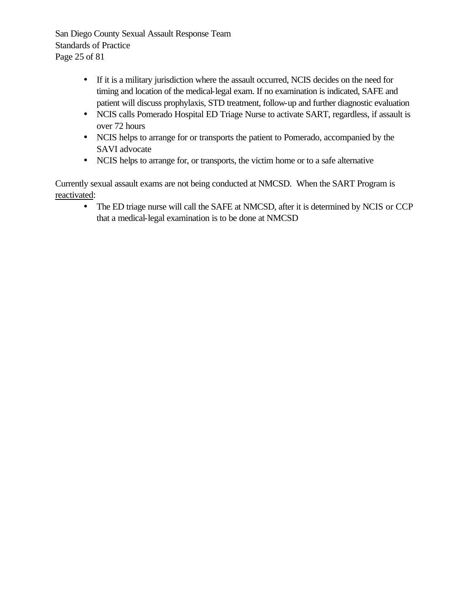San Diego County Sexual Assault Response Team Standards of Practice Page 25 of 81

- •If it is a military jurisdiction where the assault occurred, NCIS decides on the need for timing and location of the medical-legal exam. If no examination is indicated, SAFE and patient will discuss prophylaxis, STD treatment, follow-up and further diagnostic evaluation
- •NCIS calls Pomerado Hospital ED Triage Nurse to activate SART, regardless, if assault is over 72 hours
- •NCIS helps to arrange for or transports the patient to Pomerado, accompanied by the SAVI advocate
- •NCIS helps to arrange for, or transports, the victim home or to a safe alternative

Currently sexual assault exams are not being conducted at NMCSD. When the SART Program is reactivated:

• The ED triage nurse will call the SAFE at NMCSD, after it is determined by NCIS or CCP that a medical-legal examination is to be done at NMCSD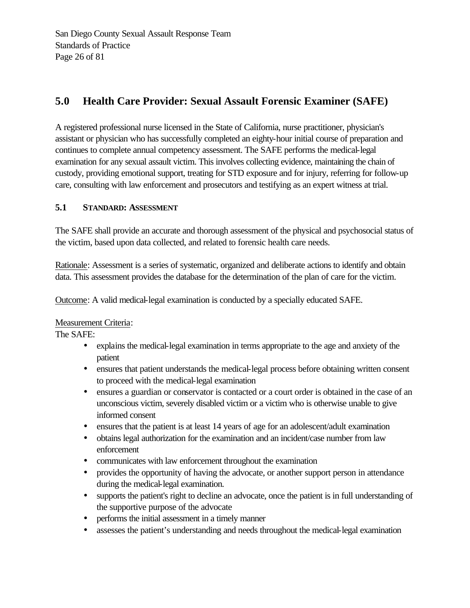San Diego County Sexual Assault Response Team Standards of Practice Page 26 of 81

# **5.0 Health Care Provider: Sexual Assault Forensic Examiner (SAFE)**

A registered professional nurse licensed in the State of California, nurse practitioner, physician's assistant or physician who has successfully completed an eighty-hour initial course of preparation and continues to complete annual competency assessment. The SAFE performs the medical-legal examination for any sexual assault victim. This involves collecting evidence, maintaining the chain of custody, providing emotional support, treating for STD exposure and for injury, referring for follow-up care, consulting with law enforcement and prosecutors and testifying as an expert witness at trial.

#### **5.1 STANDARD: ASSESSMENT**

The SAFE shall provide an accurate and thorough assessment of the physical and psychosocial status of the victim, based upon data collected, and related to forensic health care needs.

Rationale: Assessment is a series of systematic, organized and deliberate actions to identify and obtain data. This assessment provides the database for the determination of the plan of care for the victim.

Outcome: A valid medical-legal examination is conducted by a specially educated SAFE.

#### Measurement Criteria:

The SAFE:

- explains the medical-legal examination in terms appropriate to the age and anxiety of the patient
- •ensures that patient understands the medical-legal process before obtaining written consent to proceed with the medical-legal examination
- ensures a guardian or conservator is contacted or a court order is obtained in the case of an unconscious victim, severely disabled victim or a victim who is otherwise unable to give informed consent
- ensures that the patient is at least 14 years of age for an adolescent/adult examination
- •obtains legal authorization for the examination and an incident/case number from law enforcement
- communicates with law enforcement throughout the examination
- provides the opportunity of having the advocate, or another support person in attendance during the medical-legal examination.
- supports the patient's right to decline an advocate, once the patient is in full understanding of the supportive purpose of the advocate
- performs the initial assessment in a timely manner
- assesses the patient's understanding and needs throughout the medical-legal examination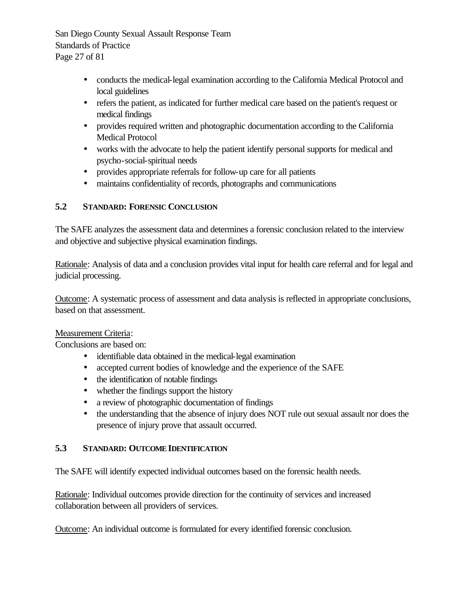San Diego County Sexual Assault Response Team Standards of Practice Page 27 of 81

- conducts the medical-legal examination according to the California Medical Protocol and local guidelines
- refers the patient, as indicated for further medical care based on the patient's request or medical findings
- •provides required written and photographic documentation according to the California Medical Protocol
- works with the advocate to help the patient identify personal supports for medical and psycho-social-spiritual needs
- •provides appropriate referrals for follow-up care for all patients
- •maintains confidentiality of records, photographs and communications

#### **5.2 STANDARD: FORENSIC CONCLUSION**

The SAFE analyzes the assessment data and determines a forensic conclusion related to the interview and objective and subjective physical examination findings.

Rationale: Analysis of data and a conclusion provides vital input for health care referral and for legal and judicial processing.

Outcome: A systematic process of assessment and data analysis is reflected in appropriate conclusions, based on that assessment.

#### Measurement Criteria:

Conclusions are based on:

- •identifiable data obtained in the medical-legal examination
- accepted current bodies of knowledge and the experience of the SAFE
- the identification of notable findings
- whether the findings support the history
- a review of photographic documentation of findings
- the understanding that the absence of injury does NOT rule out sexual assault nor does the presence of injury prove that assault occurred.

#### **5.3 STANDARD: OUTCOME IDENTIFICATION**

The SAFE will identify expected individual outcomes based on the forensic health needs.

Rationale: Individual outcomes provide direction for the continuity of services and increased collaboration between all providers of services.

Outcome: An individual outcome is formulated for every identified forensic conclusion.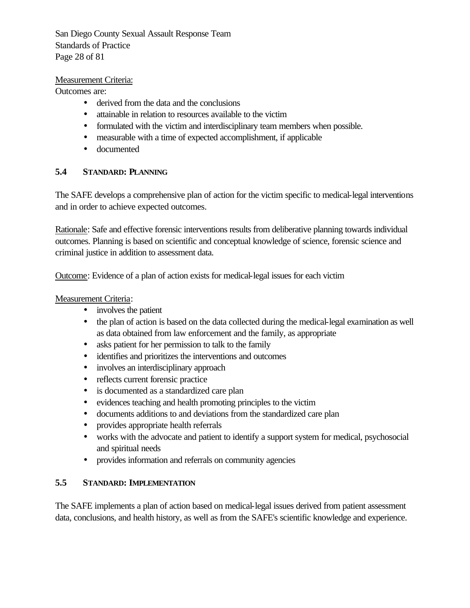San Diego County Sexual Assault Response Team Standards of Practice Page 28 of 81

#### Measurement Criteria:

Outcomes are:

- derived from the data and the conclusions
- attainable in relation to resources available to the victim
- formulated with the victim and interdisciplinary team members when possible.
- measurable with a time of expected accomplishment, if applicable
- •documented

#### **5.4 STANDARD: PLANNING**

The SAFE develops a comprehensive plan of action for the victim specific to medical-legal interventions and in order to achieve expected outcomes.

Rationale: Safe and effective forensic interventions results from deliberative planning towards individual outcomes. Planning is based on scientific and conceptual knowledge of science, forensic science and criminal justice in addition to assessment data.

Outcome: Evidence of a plan of action exists for medical-legal issues for each victim

#### Measurement Criteria:

- involves the patient
- the plan of action is based on the data collected during the medical-legal examination as well as data obtained from law enforcement and the family, as appropriate
- asks patient for her permission to talk to the family
- •identifies and prioritizes the interventions and outcomes
- •involves an interdisciplinary approach
- reflects current forensic practice
- is documented as a standardized care plan
- evidences teaching and health promoting principles to the victim
- •documents additions to and deviations from the standardized care plan
- provides appropriate health referrals
- •works with the advocate and patient to identify a support system for medical, psychosocial and spiritual needs
- •provides information and referrals on community agencies

#### **5.5 STANDARD: IMPLEMENTATION**

The SAFE implements a plan of action based on medical-legal issues derived from patient assessment data, conclusions, and health history, as well as from the SAFE's scientific knowledge and experience.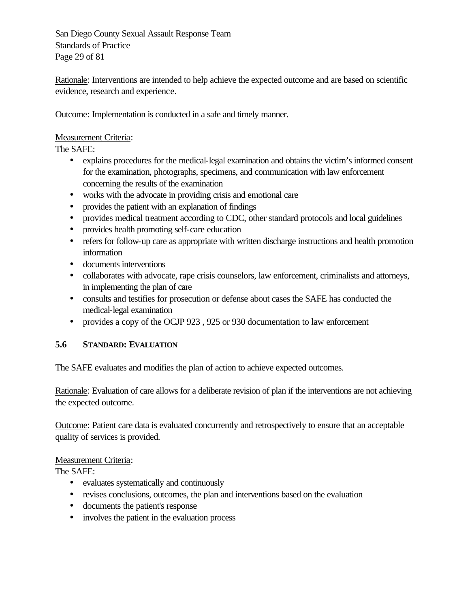San Diego County Sexual Assault Response Team Standards of Practice Page 29 of 81

Rationale: Interventions are intended to help achieve the expected outcome and are based on scientific evidence, research and experience.

Outcome: Implementation is conducted in a safe and timely manner.

Measurement Criteria:

The SAFE:

- explains procedures for the medical-legal examination and obtains the victim's informed consent for the examination, photographs, specimens, and communication with law enforcement concerning the results of the examination
- •works with the advocate in providing crisis and emotional care
- $\bullet$ •provides the patient with an explanation of findings
- •provides medical treatment according to CDC, other standard protocols and local guidelines
- •provides health promoting self-care education
- refers for follow-up care as appropriate with written discharge instructions and health promotion information
- •documents interventions
- collaborates with advocate, rape crisis counselors, law enforcement, criminalists and attorneys, in implementing the plan of care
- •consults and testifies for prosecution or defense about cases the SAFE has conducted the medical-legal examination
- •provides a copy of the OCJP 923 , 925 or 930 documentation to law enforcement

#### **5.6 STANDARD: EVALUATION**

The SAFE evaluates and modifies the plan of action to achieve expected outcomes.

Rationale: Evaluation of care allows for a deliberate revision of plan if the interventions are not achieving the expected outcome.

Outcome: Patient care data is evaluated concurrently and retrospectively to ensure that an acceptable quality of services is provided.

#### Measurement Criteria:

The SAFE:

- evaluates systematically and continuously
- revises conclusions, outcomes, the plan and interventions based on the evaluation
- •documents the patient's response
- involves the patient in the evaluation process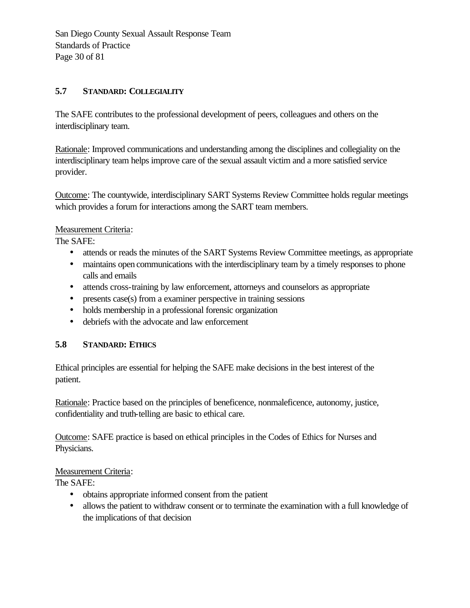San Diego County Sexual Assault Response Team Standards of Practice Page 30 of 81

#### **5.7 STANDARD: COLLEGIALITY**

The SAFE contributes to the professional development of peers, colleagues and others on the interdisciplinary team.

Rationale: Improved communications and understanding among the disciplines and collegiality on the interdisciplinary team helps improve care of the sexual assault victim and a more satisfied service provider.

Outcome: The countywide, interdisciplinary SART Systems Review Committee holds regular meetings which provides a forum for interactions among the SART team members.

#### Measurement Criteria:

The SAFE:

- attends or reads the minutes of the SART Systems Review Committee meetings, as appropriate
- maintains open communications with the interdisciplinary team by a timely responses to phone calls and emails
- •attends cross-training by law enforcement, attorneys and counselors as appropriate
- presents case(s) from a examiner perspective in training sessions
- •holds membership in a professional forensic organization
- •debriefs with the advocate and law enforcement

#### **5.8 STANDARD: ETHICS**

Ethical principles are essential for helping the SAFE make decisions in the best interest of the patient.

Rationale: Practice based on the principles of beneficence, nonmaleficence, autonomy, justice, confidentiality and truth-telling are basic to ethical care.

Outcome: SAFE practice is based on ethical principles in the Codes of Ethics for Nurses and Physicians.

#### Measurement Criteria:

The SAFE:

- •obtains appropriate informed consent from the patient
- allows the patient to withdraw consent or to terminate the examination with a full knowledge of the implications of that decision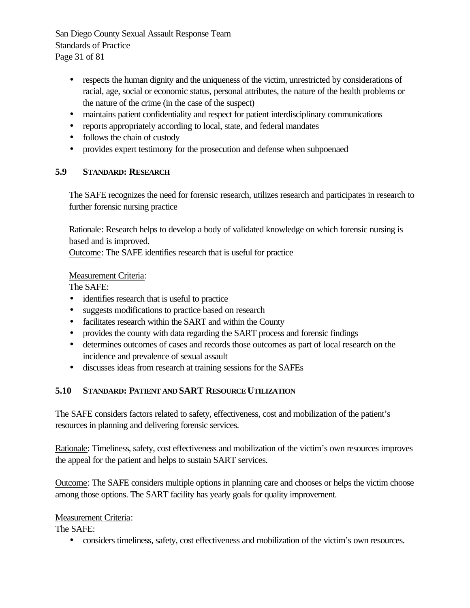San Diego County Sexual Assault Response Team Standards of Practice Page 31 of 81

- respects the human dignity and the uniqueness of the victim, unrestricted by considerations of racial, age, social or economic status, personal attributes, the nature of the health problems or the nature of the crime (in the case of the suspect)
- •maintains patient confidentiality and respect for patient interdisciplinary communications
- reports appropriately according to local, state, and federal mandates
- follows the chain of custody
- •provides expert testimony for the prosecution and defense when subpoenaed

#### **5.9 STANDARD: RESEARCH**

The SAFE recognizes the need for forensic research, utilizes research and participates in research to further forensic nursing practice

Rationale: Research helps to develop a body of validated knowledge on which forensic nursing is based and is improved.

Outcome: The SAFE identifies research that is useful for practice

#### Measurement Criteria:

The SAFE:

- •identifies research that is useful to practice
- suggests modifications to practice based on research
- facilitates research within the SART and within the County
- provides the county with data regarding the SART process and forensic findings
- •determines outcomes of cases and records those outcomes as part of local research on the incidence and prevalence of sexual assault
- •discusses ideas from research at training sessions for the SAFEs

#### **5.10 STANDARD: PATIENT AND SART RESOURCE UTILIZATION**

The SAFE considers factors related to safety, effectiveness, cost and mobilization of the patient's resources in planning and delivering forensic services.

Rationale: Timeliness, safety, cost effectiveness and mobilization of the victim's own resources improves the appeal for the patient and helps to sustain SART services.

Outcome: The SAFE considers multiple options in planning care and chooses or helps the victim choose among those options. The SART facility has yearly goals for quality improvement.

#### Measurement Criteria:

The SAFE:

• considers timeliness, safety, cost effectiveness and mobilization of the victim's own resources.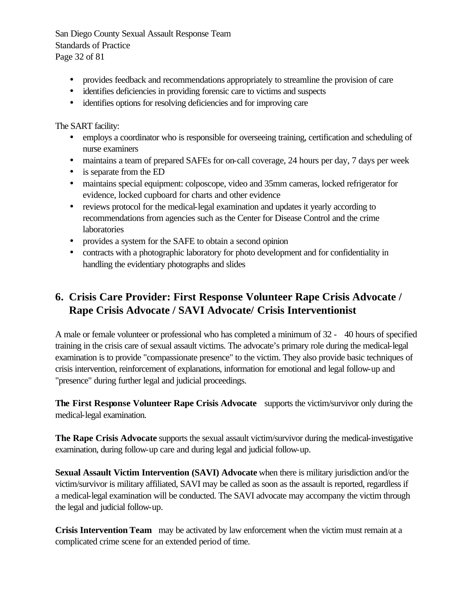San Diego County Sexual Assault Response Team Standards of Practice Page 32 of 81

- •provides feedback and recommendations appropriately to streamline the provision of care
- •identifies deficiencies in providing forensic care to victims and suspects
- •identifies options for resolving deficiencies and for improving care

The SART facility:

- employs a coordinator who is responsible for overseeing training, certification and scheduling of nurse examiners
- maintains a team of prepared SAFEs for on-call coverage, 24 hours per day, 7 days per week
- is separate from the ED
- •maintains special equipment: colposcope, video and 35mm cameras, locked refrigerator for evidence, locked cupboard for charts and other evidence
- reviews protocol for the medical-legal examination and updates it yearly according to laboratories recommendations from agencies such as the Center for Disease Control and the crime
- provides a system for the SAFE to obtain a second opinion
- •contracts with a photographic laboratory for photo development and for confidentiality in handling the evidentiary photographs and slides

# **6. Crisis Care Provider: First Response Volunteer Rape Crisis Advocate / Rape Crisis Advocate / SAVI Advocate/ Crisis Interventionist**

A male or female volunteer or professional who has completed a minimum of 32 - 40 hours of specified training in the crisis care of sexual assault victims. The advocate's primary role during the medical-legal examination is to provide "compassionate presence" to the victim. They also provide basic techniques of crisis intervention, reinforcement of explanations, information for emotional and legal follow-up and "presence" during further legal and judicial proceedings.

**The First Response Volunteer Rape Crisis Advocate** supports the victim/survivor only during the medical-legal examination.

**The Rape Crisis Advocate** supports the sexual assault victim/survivor during the medical-investigative examination, during follow-up care and during legal and judicial follow-up.

**Sexual Assault Victim Intervention (SAVI) Advocate** when there is military jurisdiction and/or the victim/survivor is military affiliated, SAVI may be called as soon as the assault is reported, regardless if a medical-legal examination will be conducted. The SAVI advocate may accompany the victim through the legal and judicial follow-up.

**Crisis Intervention Team** may be activated by law enforcement when the victim must remain at a complicated crime scene for an extended period of time.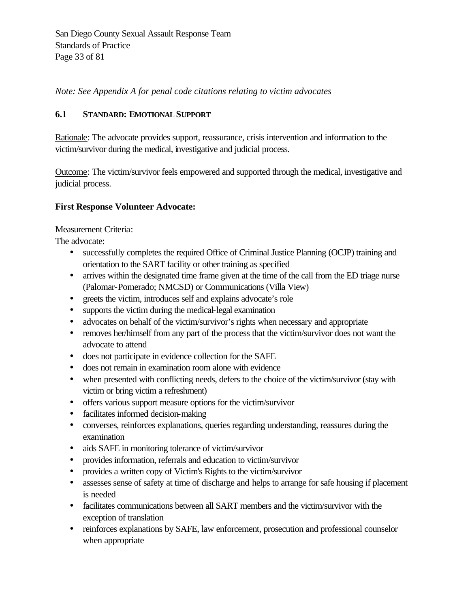San Diego County Sexual Assault Response Team Standards of Practice Page 33 of 81

*Note: See Appendix A for penal code citations relating to victim advocates* 

#### **6.1 STANDARD: EMOTIONAL SUPPORT**

Rationale: The advocate provides support, reassurance, crisis intervention and information to the victim/survivor during the medical, investigative and judicial process.

Outcome: The victim/survivor feels empowered and supported through the medical, investigative and judicial process.

#### **First Response Volunteer Advocate:**

#### Measurement Criteria:

The advocate:

- successfully completes the required Office of Criminal Justice Planning (OCJP) training and orientation to the SART facility or other training as specified
- arrives within the designated time frame given at the time of the call from the ED triage nurse (Palomar-Pomerado; NMCSD) or Communications (Villa View)
- greets the victim, introduces self and explains advocate's role
- supports the victim during the medical-legal examination
- advocates on behalf of the victim/survivor's rights when necessary and appropriate
- removes her/himself from any part of the process that the victim/survivor does not want the advocate to attend
- does not participate in evidence collection for the SAFE
- •does not remain in examination room alone with evidence
- when presented with conflicting needs, defers to the choice of the victim/survivor (stay with victim or bring victim a refreshment)
- offers various support measure options for the victim/survivor
- •facilitates informed decision-making
- •converses, reinforces explanations, queries regarding understanding, reassures during the examination
- aids SAFE in monitoring tolerance of victim/survivor
- •provides information, referrals and education to victim/survivor
- •provides a written copy of Victim's Rights to the victim/survivor
- •assesses sense of safety at time of discharge and helps to arrange for safe housing if placement is needed
- •facilitates communications between all SART members and the victim/survivor with the exception of translation
- reinforces explanations by SAFE, law enforcement, prosecution and professional counselor when appropriate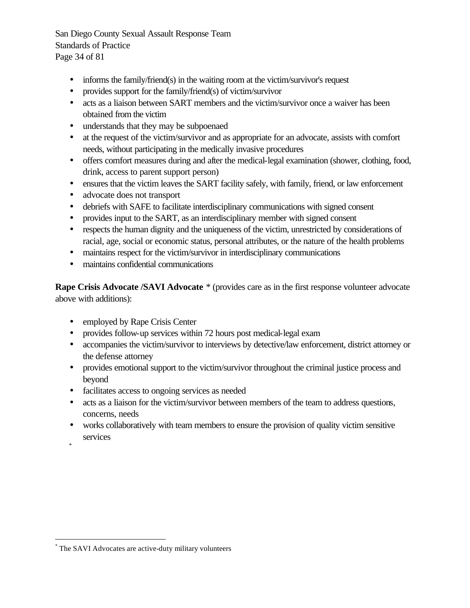San Diego County Sexual Assault Response Team Standards of Practice Page 34 of 81

- informs the family/friend(s) in the waiting room at the victim/survivor's request
- provides support for the family/friend(s) of victim/survivor
- acts as a liaison between SART members and the victim/survivor once a waiver has been obtained from the victim
- understands that they may be subpoenaed
- at the request of the victim/survivor and as appropriate for an advocate, assists with comfort needs, without participating in the medically invasive procedures
- •offers comfort measures during and after the medical-legal examination (shower, clothing, food, drink, access to parent support person)
- ensures that the victim leaves the SART facility safely, with family, friend, or law enforcement
- advocate does not transport
- •debriefs with SAFE to facilitate interdisciplinary communications with signed consent
- provides input to the SART, as an interdisciplinary member with signed consent
- respects the human dignity and the uniqueness of the victim, unrestricted by considerations of racial, age, social or economic status, personal attributes, or the nature of the health problems
- maintains respect for the victim/survivor in interdisciplinary communications
- $\bullet$ •maintains confidential communications

**Rape Crisis Advocate /SAVI Advocate** \* (provides care as in the first response volunteer advocate above with additions):

- employed by Rape Crisis Center
- provides follow-up services within 72 hours post medical-legal exam
- •accompanies the victim/survivor to interviews by detective/law enforcement, district attorney or the defense attorney
- provides emotional support to the victim/survivor throughout the criminal justice process and beyond
- •facilitates access to ongoing services as needed
- acts as a liaison for the victim/survivor between members of the team to address questions, concerns, needs
- •works collaboratively with team members to ensure the provision of quality victim sensitive services

\*

 $\overline{a}$ 

<sup>\*</sup> The SAVI Advocates are active-duty military volunteers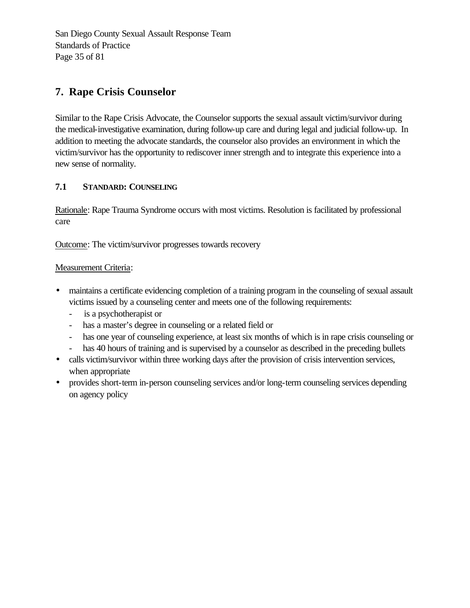San Diego County Sexual Assault Response Team Standards of Practice Page 35 of 81

# **7. Rape Crisis Counselor**

Similar to the Rape Crisis Advocate, the Counselor supports the sexual assault victim/survivor during the medical-investigative examination, during follow-up care and during legal and judicial follow-up. In addition to meeting the advocate standards, the counselor also provides an environment in which the victim/survivor has the opportunity to rediscover inner strength and to integrate this experience into a new sense of normality.

#### **7.1 STANDARD: COUNSELING**

Rationale: Rape Trauma Syndrome occurs with most victims. Resolution is facilitated by professional care

Outcome: The victim/survivor progresses towards recovery

#### Measurement Criteria:

- •maintains a certificate evidencing completion of a training program in the counseling of sexual assault victims issued by a counseling center and meets one of the following requirements:
	- is a psychotherapist or
	- has a master's degree in counseling or a related field or
	- has one year of counseling experience, at least six months of which is in rape crisis counseling or
	- has 40 hours of training and is supervised by a counselor as described in the preceding bullets
- calls victim/survivor within three working days after the provision of crisis intervention services, when appropriate
- •provides short-term in-person counseling services and/or long-term counseling services depending on agency policy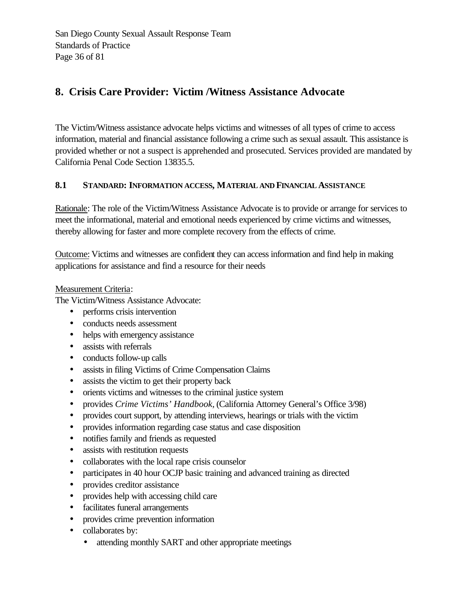# **8. Crisis Care Provider: Victim /Witness Assistance Advocate**

The Victim/Witness assistance advocate helps victims and witnesses of all types of crime to access information, material and financial assistance following a crime such as sexual assault. This assistance is provided whether or not a suspect is apprehended and prosecuted. Services provided are mandated by California Penal Code Section 13835.5.

#### **8.1 STANDARD: INFORMATION ACCESS, MATERIAL AND FINANCIAL ASSISTANCE**

Rationale: The role of the Victim/Witness Assistance Advocate is to provide or arrange for services to meet the informational, material and emotional needs experienced by crime victims and witnesses, thereby allowing for faster and more complete recovery from the effects of crime.

Outcome: Victims and witnesses are confident they can access information and find help in making applications for assistance and find a resource for their needs

#### Measurement Criteria:

The Victim/Witness Assistance Advocate:

- performs crisis intervention
- conducts needs assessment
- helps with emergency assistance
- assists with referrals
- conducts follow-up calls
- assists in filing Victims of Crime Compensation Claims
- assists the victim to get their property back
- orients victims and witnesses to the criminal justice system
- provides *Crime Victims' Handbook,* (California Attorney General's Office 3/98)
- provides court support, by attending interviews, hearings or trials with the victim
- provides information regarding case status and case disposition
- notifies family and friends as requested
- assists with restitution requests
- collaborates with the local rape crisis counselor
- participates in 40 hour OCJP basic training and advanced training as directed
- provides creditor assistance
- provides help with accessing child care
- facilitates funeral arrangements
- provides crime prevention information
- collaborates by:
	- attending monthly SART and other appropriate meetings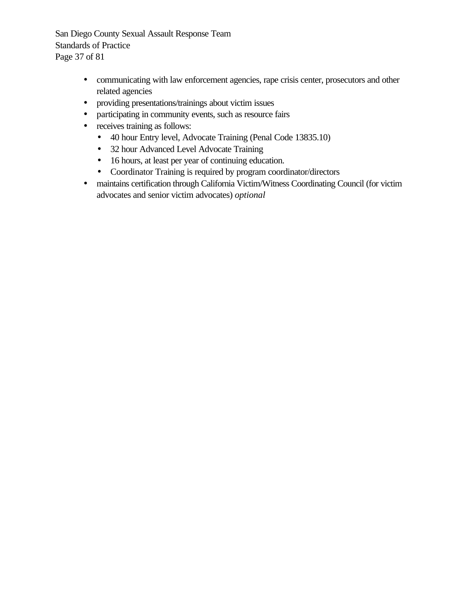San Diego County Sexual Assault Response Team Standards of Practice Page 37 of 81

- communicating with law enforcement agencies, rape crisis center, prosecutors and other related agencies
- providing presentations/trainings about victim issues
- participating in community events, such as resource fairs
- receives training as follows:
	- •40 hour Entry level, Advocate Training (Penal Code 13835.10)
	- •32 hour Advanced Level Advocate Training
	- •16 hours, at least per year of continuing education.
	- •Coordinator Training is required by program coordinator/directors
- •maintains certification through California Victim/Witness Coordinating Council (for victim advocates and senior victim advocates) *optional*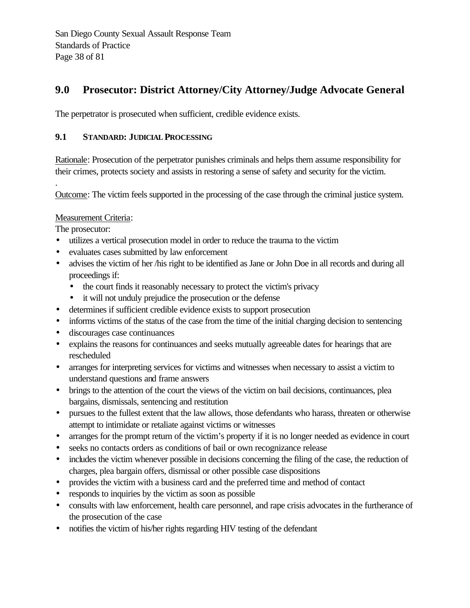## **9.0 Prosecutor: District Attorney/City Attorney/Judge Advocate General**

The perpetrator is prosecuted when sufficient, credible evidence exists.

## **9.1 STANDARD: JUDICIAL PROCESSING**

 their crimes, protects society and assists in restoring a sense of safety and security for the victim. � Rationale: Prosecution of the perpetrator punishes criminals and helps them assume responsibility for

Outcome: The victim feels supported in the processing of the case through the criminal justice system.

## Measurement Criteria:

The prosecutor:

 $\ddot{\phantom{0}}$ 

- •utilizes a vertical prosecution model in order to reduce the trauma to the victim
- •evaluates cases submitted by law enforcement
- $\bullet$ •advises the victim of her /his right to be identified as Jane or John Doe in all records and during all proceedings if:
	- $\bullet$ the court finds it reasonably necessary to protect the victim's privacy
	- $\bullet$ •it will not unduly prejudice the prosecution or the defense
- •determines if sufficient credible evidence exists to support prosecution
- informs victims of the status of the case from the time of the initial charging decision to sentencing
- •discourages case continuances
- explains the reasons for continuances and seeks mutually agreeable dates for hearings that are rescheduled
- •arranges for interpreting services for victims and witnesses when necessary to assist a victim to understand questions and frame answers
- $\bullet$ •brings to the attention of the court the views of the victim on bail decisions, continuances, plea bargains, dismissals, sentencing and restitution
- •pursues to the fullest extent that the law allows, those defendants who harass, threaten or otherwise attempt to intimidate or retaliate against victims or witnesses
- •arranges for the prompt return of the victim's property if it is no longer needed as evidence in court
- seeks no contacts orders as conditions of bail or own recognizance release
- $\bullet$ •includes the victim whenever possible in decisions concerning the filing of the case, the reduction of charges, plea bargain offers, dismissal or other possible case dispositions
- $\bullet$ •provides the victim with a business card and the preferred time and method of contact
- $\bullet$ responds to inquiries by the victim as soon as possible
- $\bullet$ •consults with law enforcement, health care personnel, and rape crisis advocates in the furtherance of the prosecution of the case
- $\bullet$ •notifies the victim of his/her rights regarding HIV testing of the defendant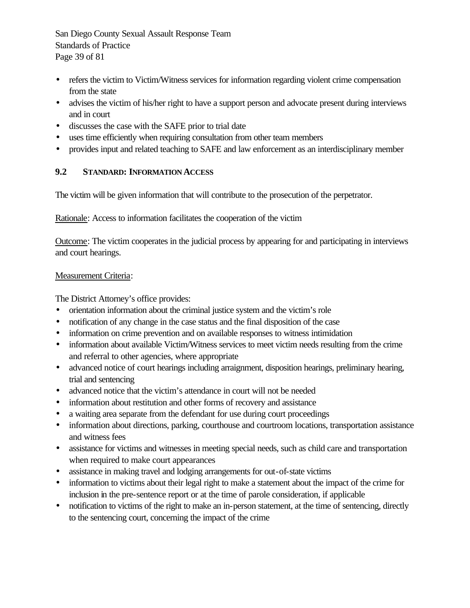San Diego County Sexual Assault Response Team Standards of Practice Page 39 of 81

- refers the victim to Victim/Witness services for information regarding violent crime compensation from the state
- advises the victim of his/her right to have a support person and advocate present during interviews and in court
- discusses the case with the SAFE prior to trial date
- uses time efficiently when requiring consultation from other team members
- $\bullet$ •provides input and related teaching to SAFE and law enforcement as an interdisciplinary member

## **9.2 STANDARD: INFORMATION ACCESS**

The victim will be given information that will contribute to the prosecution of the perpetrator.

Rationale: Access to information facilitates the cooperation of the victim

Outcome: The victim cooperates in the judicial process by appearing for and participating in interviews and court hearings.

## Measurement Criteria:

The District Attorney's office provides:

- orientation information about the criminal justice system and the victim's role
- notification of any change in the case status and the final disposition of the case
- •information on crime prevention and on available responses to witness intimidation
- $\bullet$ •information about available Victim/Witness services to meet victim needs resulting from the crime and referral to other agencies, where appropriate
- •advanced notice of court hearings including arraignment, disposition hearings, preliminary hearing, trial and sentencing
- advanced notice that the victim's attendance in court will not be needed
- information about restitution and other forms of recovery and assistance
- a waiting area separate from the defendant for use during court proceedings
- $\bullet$ information about directions, parking, courthouse and courtroom locations, transportation assistance and witness fees
- assistance for victims and witnesses in meeting special needs, such as child care and transportation when required to make court appearances
- •assistance in making travel and lodging arrangements for out-of-state victims
- $\bullet$ information to victims about their legal right to make a statement about the impact of the crime for inclusion in the pre-sentence report or at the time of parole consideration, if applicable
- $\bullet$ •notification to victims of the right to make an in-person statement, at the time of sentencing, directly to the sentencing court, concerning the impact of the crime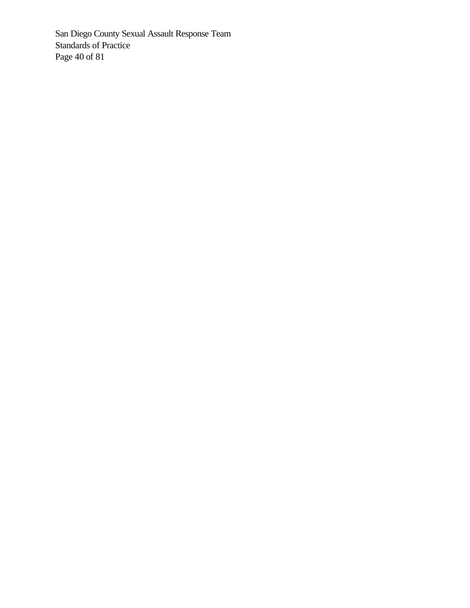San Diego County Sexual Assault Response Team Standards of Practice Page 40 of 81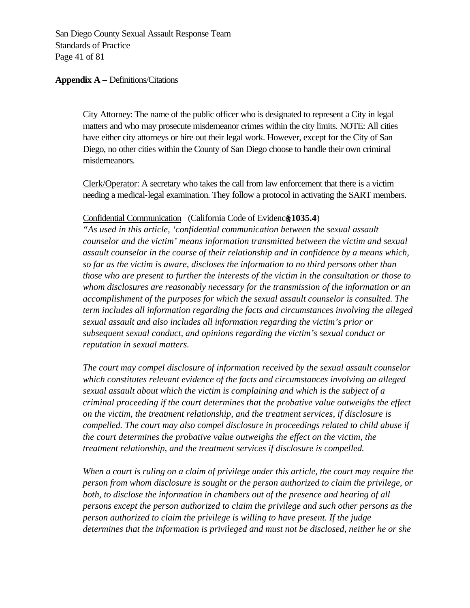San Diego County Sexual Assault Response Team Standards of Practice Page 41 of 81

### **Appendix A –** Definitions/Citations

City Attorney: The name of the public officer who is designated to represent a City in legal matters and who may prosecute misdemeanor crimes within the city limits. NOTE: All cities have either city attorneys or hire out their legal work. However, except for the City of San Diego, no other cities within the County of San Diego choose to handle their own criminal misdemeanors.

Clerk/Operator: A secretary who takes the call from law enforcement that there is a victim needing a medical-legal examination. They follow a protocol in activating the SART members.

## Confidential Communication (California Code of Evidenc $$1035.4$ )

*"As used in this article, 'confidential communication between the sexual assault counselor and the victim' means information transmitted between the victim and sexual assault counselor in the course of their relationship and in confidence by a means which, so far as the victim is aware, discloses the information to no third persons other than those who are present to further the interests of the victim in the consultation or those to whom disclosures are reasonably necessary for the transmission of the information or an accomplishment of the purposes for which the sexual assault counselor is consulted. The term includes all information regarding the facts and circumstances involving the alleged sexual assault and also includes all information regarding the victim's prior or subsequent sexual conduct, and opinions regarding the victim's sexual conduct or reputation in sexual matters.* 

*The court may compel disclosure of information received by the sexual assault counselor which constitutes relevant evidence of the facts and circumstances involving an alleged sexual assault about which the victim is complaining and which is the subject of a criminal proceeding if the court determines that the probative value outweighs the effect on the victim, the treatment relationship, and the treatment services, if disclosure is compelled. The court may also compel disclosure in proceedings related to child abuse if the court determines the probative value outweighs the effect on the victim, the treatment relationship, and the treatment services if disclosure is compelled.* 

*When a court is ruling on a claim of privilege under this article, the court may require the person from whom disclosure is sought or the person authorized to claim the privilege, or both, to disclose the information in chambers out of the presence and hearing of all persons except the person authorized to claim the privilege and such other persons as the person authorized to claim the privilege is willing to have present. If the judge determines that the information is privileged and must not be disclosed, neither he or she*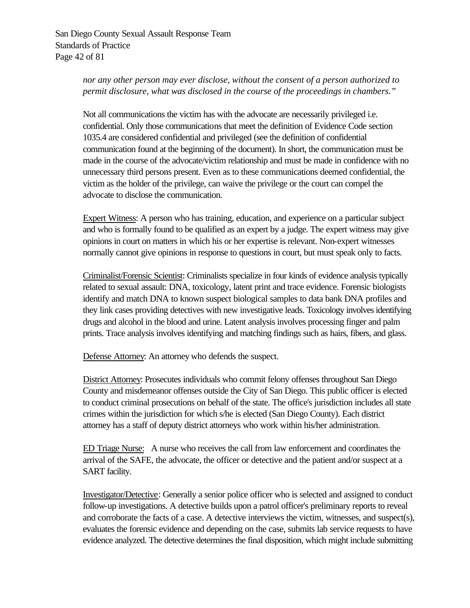*nor any other person may ever disclose, without the consent of a person authorized to permit disclosure, what was disclosed in the course of the proceedings in chambers."* 

Not all communications the victim has with the advocate are necessarily privileged i.e. confidential. Only those communications that meet the definition of Evidence Code section 1035.4 are considered confidential and privileged (see the definition of confidential communication found at the beginning of the document). In short, the communication must be made in the course of the advocate/victim relationship and must be made in confidence with no unnecessary third persons present. Even as to these communications deemed confidential, the victim as the holder of the privilege, can waive the privilege or the court can compel the advocate to disclose the communication.

Expert Witness: A person who has training, education, and experience on a particular subject and who is formally found to be qualified as an expert by a judge. The expert witness may give opinions in court on matters in which his or her expertise is relevant. Non-expert witnesses normally cannot give opinions in response to questions in court, but must speak only to facts.

Criminalist/Forensic Scientist: Criminalists specialize in four kinds of evidence analysis typically related to sexual assault: DNA, toxicology, latent print and trace evidence. Forensic biologists identify and match DNA to known suspect biological samples to data bank DNA profiles and they link cases providing detectives with new investigative leads. Toxicology involves identifying drugs and alcohol in the blood and urine. Latent analysis involves processing finger and palm prints. Trace analysis involves identifying and matching findings such as hairs, fibers, and glass.

Defense Attorney: An attorney who defends the suspect.

District Attorney: Prosecutes individuals who commit felony offenses throughout San Diego County and misdemeanor offenses outside the City of San Diego. This public officer is elected to conduct criminal prosecutions on behalf of the state. The office's jurisdiction includes all state crimes within the jurisdiction for which s/he is elected (San Diego County). Each district attorney has a staff of deputy district attorneys who work within his/her administration.

ED Triage Nurse: A nurse who receives the call from law enforcement and coordinates the arrival of the SAFE, the advocate, the officer or detective and the patient and/or suspect at a SART facility.

Investigator/Detective: Generally a senior police officer who is selected and assigned to conduct follow-up investigations. A detective builds upon a patrol officer's preliminary reports to reveal and corroborate the facts of a case. A detective interviews the victim, witnesses, and suspect(s), evaluates the forensic evidence and depending on the case, submits lab service requests to have evidence analyzed. The detective determines the final disposition, which might include submitting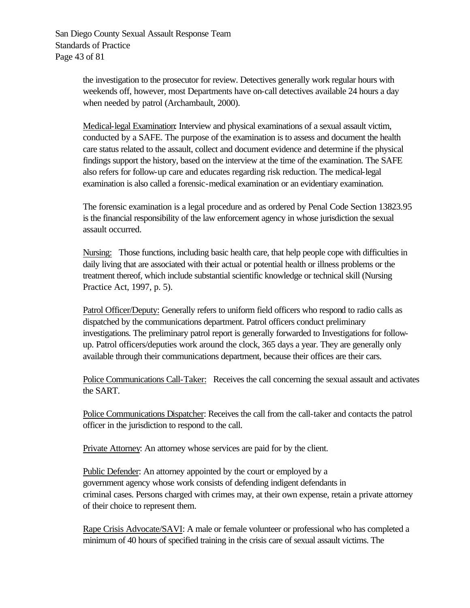the investigation to the prosecutor for review. Detectives generally work regular hours with weekends off, however, most Departments have on-call detectives available 24 hours a day when needed by patrol (Archambault, 2000).

Medical-legal Examination: Interview and physical examinations of a sexual assault victim, conducted by a SAFE. The purpose of the examination is to assess and document the health care status related to the assault, collect and document evidence and determine if the physical findings support the history, based on the interview at the time of the examination. The SAFE also refers for follow-up care and educates regarding risk reduction. The medical-legal examination is also called a forensic-medical examination or an evidentiary examination.

The forensic examination is a legal procedure and as ordered by Penal Code Section 13823.95 is the financial responsibility of the law enforcement agency in whose jurisdiction the sexual assault occurred.

Nursing: Those functions, including basic health care, that help people cope with difficulties in daily living that are associated with their actual or potential health or illness problems or the treatment thereof, which include substantial scientific knowledge or technical skill (Nursing Practice Act, 1997, p. 5).

Patrol Officer/Deputy: Generally refers to uniform field officers who respond to radio calls as dispatched by the communications department. Patrol officers conduct preliminary investigations. The preliminary patrol report is generally forwarded to Investigations for followup. Patrol officers/deputies work around the clock, 365 days a year. They are generally only available through their communications department, because their offices are their cars.

Police Communications Call-Taker: Receives the call concerning the sexual assault and activates the SART.

Police Communications Dispatcher: Receives the call from the call-taker and contacts the patrol officer in the jurisdiction to respond to the call.

Private Attorney: An attorney whose services are paid for by the client.

Public Defender: An attorney appointed by the court or employed by a government agency whose work consists of defending indigent defendants in criminal cases. Persons charged with crimes may, at their own expense, retain a private attorney of their choice to represent them.

Rape Crisis Advocate/SAVI: A male or female volunteer or professional who has completed a minimum of 40 hours of specified training in the crisis care of sexual assault victims. The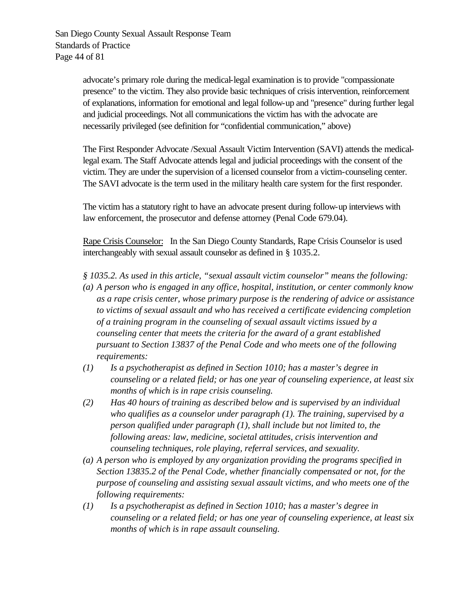advocate's primary role during the medical-legal examination is to provide "compassionate presence" to the victim. They also provide basic techniques of crisis intervention, reinforcement of explanations, information for emotional and legal follow-up and "presence" during further legal and judicial proceedings. Not all communications the victim has with the advocate are necessarily privileged (see definition for "confidential communication," above)

The First Responder Advocate /Sexual Assault Victim Intervention (SAVI) attends the medicallegal exam. The Staff Advocate attends legal and judicial proceedings with the consent of the victim. They are under the supervision of a licensed counselor from a victim-counseling center. The SAVI advocate is the term used in the military health care system for the first responder.

The victim has a statutory right to have an advocate present during follow-up interviews with law enforcement, the prosecutor and defense attorney (Penal Code 679.04).

Rape Crisis Counselor: In the San Diego County Standards, Rape Crisis Counselor is used interchangeably with sexual assault counselor as defined in § 1035.2.

*§ 1035.2. As used in this article, "sexual assault victim counselor" means the following:* 

- *(a) A person who is engaged in any office, hospital, institution, or center commonly know as a rape crisis center, whose primary purpose is the rendering of advice or assistance to victims of sexual assault and who has received a certificate evidencing completion of a training program in the counseling of sexual assault victims issued by a counseling center that meets the criteria for the award of a grant established pursuant to Section 13837 of the Penal Code and who meets one of the following requirements:*
- $(I)$ *(1)Is a psychotherapist as defined in Section 1010; has a master's degree in counseling or a related field; or has one year of counseling experience, at least six months of which is in rape crisis counseling.*
- $(2)$ *(2)Has 40 hours of training as described below and is supervised by an individual who qualifies as a counselor under paragraph (1). The training, supervised by a person qualified under paragraph (1), shall include but not limited to, the following areas: law, medicine, societal attitudes, crisis intervention and counseling techniques, role playing, referral services, and sexuality.*
- *(a) A person who is employed by any organization providing the programs specified in Section 13835.2 of the Penal Code, whether financially compensated or not, for the purpose of counseling and assisting sexual assault victims, and who meets one of the following requirements:*
- $(I)$ Is a psychotherapist as defined in Section 1010; has a master's degree in *counseling or a related field; or has one year of counseling experience, at least six months of which is in rape assault counseling.*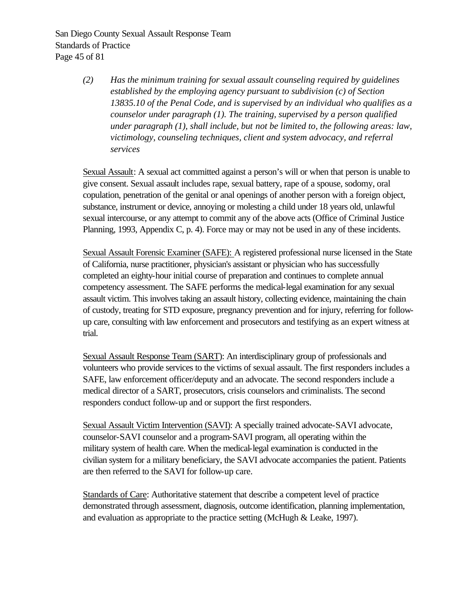San Diego County Sexual Assault Response Team Standards of Practice Page 45 of 81

> $(2)$ *Has the minimum training for sexual assault counseling required by guidelines established by the employing agency pursuant to subdivision (c) of Section 13835.10 of the Penal Code, and is supervised by an individual who qualifies as a counselor under paragraph (1). The training, supervised by a person qualified under paragraph (1), shall include, but not be limited to, the following areas: law, victimology, counseling techniques, client and system advocacy, and referral services*

> Sexual Assault: A sexual act committed against a person's will or when that person is unable to give consent. Sexual assault includes rape, sexual battery, rape of a spouse, sodomy, oral copulation, penetration of the genital or anal openings of another person with a foreign object, substance, instrument or device, annoying or molesting a child under 18 years old, unlawful sexual intercourse, or any attempt to commit any of the above acts (Office of Criminal Justice Planning, 1993, Appendix C, p. 4). Force may or may not be used in any of these incidents.

Sexual Assault Forensic Examiner (SAFE): A registered professional nurse licensed in the State of California, nurse practitioner, physician's assistant or physician who has successfully completed an eighty-hour initial course of preparation and continues to complete annual competency assessment. The SAFE performs the medical-legal examination for any sexual assault victim. This involves taking an assault history, collecting evidence, maintaining the chain of custody, treating for STD exposure, pregnancy prevention and for injury, referring for followup care, consulting with law enforcement and prosecutors and testifying as an expert witness at trial.

Sexual Assault Response Team (SART): An interdisciplinary group of professionals and volunteers who provide services to the victims of sexual assault. The first responders includes a SAFE, law enforcement officer/deputy and an advocate. The second responders include a medical director of a SART, prosecutors, crisis counselors and criminalists. The second responders conduct follow-up and or support the first responders.

Sexual Assault Victim Intervention (SAVI): A specially trained advocate-SAVI advocate, counselor-SAVI counselor and a program-SAVI program, all operating within the military system of health care. When the medical-legal examination is conducted in the civilian system for a military beneficiary, the SAVI advocate accompanies the patient. Patients are then referred to the SAVI for follow-up care.

Standards of Care: Authoritative statement that describe a competent level of practice demonstrated through assessment, diagnosis, outcome identification, planning implementation, and evaluation as appropriate to the practice setting (McHugh & Leake, 1997).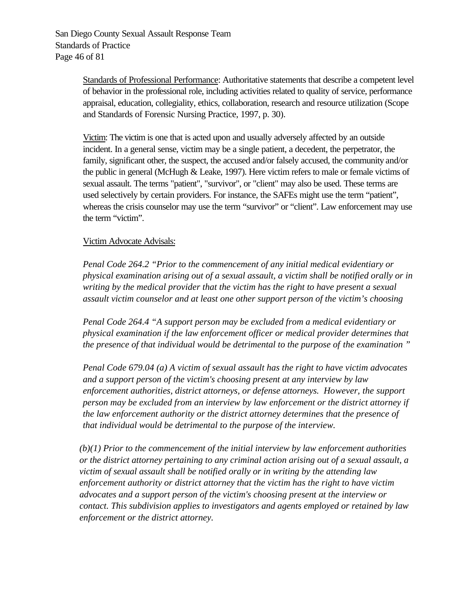Standards of Professional Performance: Authoritative statements that describe a competent level of behavior in the professional role, including activities related to quality of service, performance appraisal, education, collegiality, ethics, collaboration, research and resource utilization (Scope and Standards of Forensic Nursing Practice, 1997, p. 30).

Victim: The victim is one that is acted upon and usually adversely affected by an outside incident. In a general sense, victim may be a single patient, a decedent, the perpetrator, the family, significant other, the suspect, the accused and/or falsely accused, the community and/or the public in general (McHugh & Leake, 1997). Here victim refers to male or female victims of sexual assault. The terms "patient", "survivor", or "client" may also be used. These terms are used selectively by certain providers. For instance, the SAFEs might use the term "patient", whereas the crisis counselor may use the term "survivor" or "client". Law enforcement may use the term "victim".

## Victim Advocate Advisals:

*Penal Code 264.2 "Prior to the commencement of any initial medical evidentiary or physical examination arising out of a sexual assault, a victim shall be notified orally or in writing by the medical provider that the victim has the right to have present a sexual assault victim counselor and at least one other support person of the victim's choosing* 

*Penal Code 264.4 "A support person may be excluded from a medical evidentiary or physical examination if the law enforcement officer or medical provider determines that the presence of that individual would be detrimental to the purpose of the examination "* 

*Penal Code 679.04 (a) A victim of sexual assault has the right to have victim advocates and a support person of the victim's choosing present at any interview by law enforcement authorities, district attorneys, or defense attorneys. However, the support person may be excluded from an interview by law enforcement or the district attorney if the law enforcement authority or the district attorney determines that the presence of that individual would be detrimental to the purpose of the interview.* 

*(b)(1) Prior to the commencement of the initial interview by law enforcement authorities or the district attorney pertaining to any criminal action arising out of a sexual assault, a victim of sexual assault shall be notified orally or in writing by the attending law enforcement authority or district attorney that the victim has the right to have victim advocates and a support person of the victim's choosing present at the interview or contact. This subdivision applies to investigators and agents employed or retained by law enforcement or the district attorney.*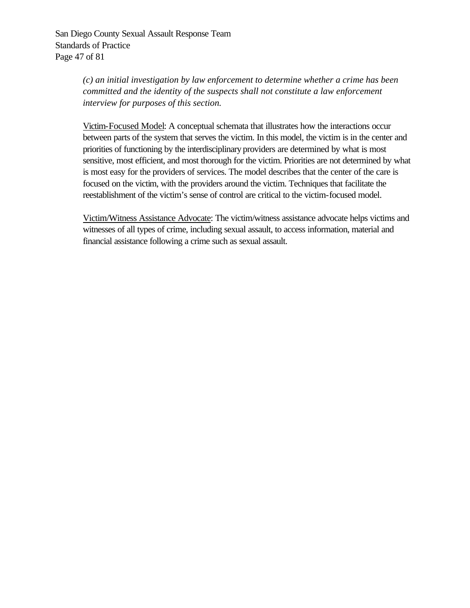San Diego County Sexual Assault Response Team Standards of Practice Page 47 of 81

> *(c) an initial investigation by law enforcement to determine whether a crime has been committed and the identity of the suspects shall not constitute a law enforcement interview for purposes of this section.*

Victim-Focused Model: A conceptual schemata that illustrates how the interactions occur between parts of the system that serves the victim. In this model, the victim is in the center and priorities of functioning by the interdisciplinary providers are determined by what is most sensitive, most efficient, and most thorough for the victim. Priorities are not determined by what is most easy for the providers of services. The model describes that the center of the care is focused on the victim, with the providers around the victim. Techniques that facilitate the reestablishment of the victim's sense of control are critical to the victim-focused model.

Victim/Witness Assistance Advocate: The victim/witness assistance advocate helps victims and witnesses of all types of crime, including sexual assault, to access information, material and financial assistance following a crime such as sexual assault.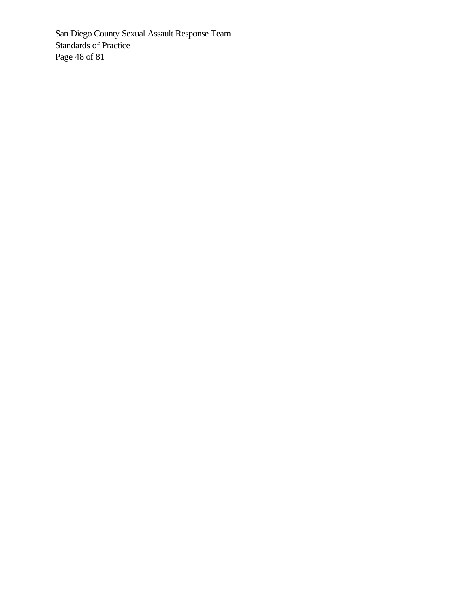San Diego County Sexual Assault Response Team Standards of Practice Page 48 of 81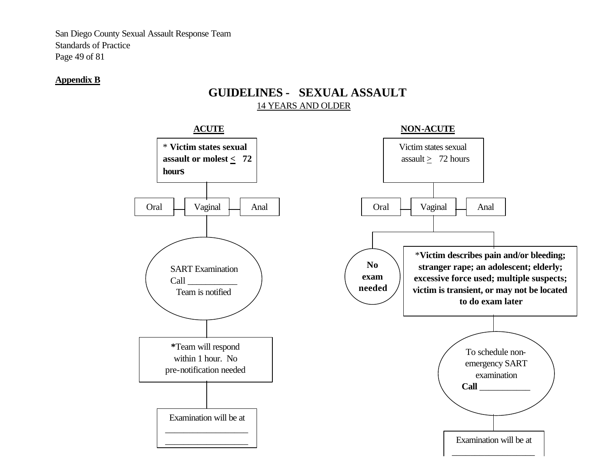San Diego County Sexual Assault Response Team Standards of Practice Page 49 of 81

### **Appendix B**

## **GUIDELINES - SEXUAL ASSAULT**  14 YEARS AND OLDER

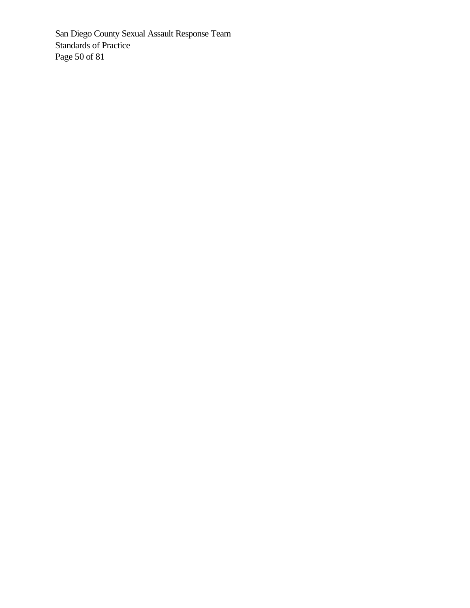San Diego County Sexual Assault Response Team Standards of Practice Page 50 of 81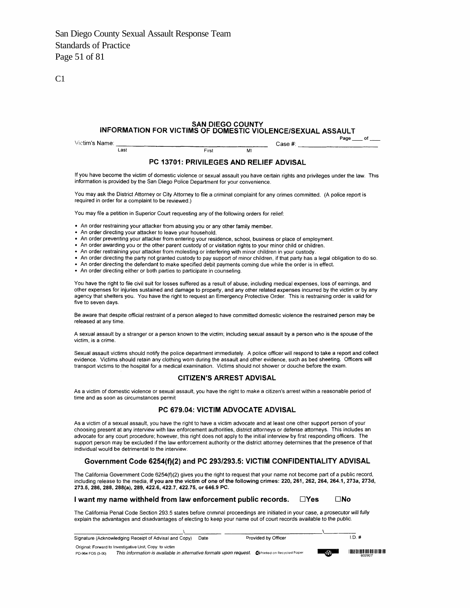$C<sub>1</sub>$ 

#### **SAN DIEGO COUNTY INFORMATION FOR VICTIMS OF DOMESTIC VIOLENCE/SEXUAL ASSAULT**  Victim's Name: \_\_\_\_\_\_ ~ \_\_\_\_\_\_\_\_\_\_\_\_\_\_\_ \_ Case #: \_\_\_\_\_\_\_\_\_\_ \_

Page

#### **PC 13701: PRIVILEGES AND RELIEF ADVISAL**

If you have become the victim of domestic violence or sexual assault you have certain rights ana privileges under the law. This information is provided by the San Diego Police Department for your convenience.

You may ask the District Attorney or City Attorney to file a criminal complaint for any crimes committed. (A police report is required in order for a complaint to be reviewed.)

You may file a petition in Superior Court requesting any of the following orders for relief:

Last First MI

- An order restraining your attacker from abusing you or any other family member.
- An order directing your attacker to leave your household.
- An order preventing your attacker from entering your residence, school, business or place of employment.
- An order awarding you or the other parent custody of or visitation rights to your minor child or children.
- An order restraining your attacker from molesting or interfering with minor children in your custody.
- An order directing the party not granted custody to pay support of minor children, if that party has a legal obligation to do so.
- An order directing the defendant to make specified debit payments coming due while the order is in effect.
- An order directing either or both parties to participate in counseling.

You have the right to file civil suit for losses suffered as a result of abuse, including medical expenses, loss of earnings, and other expenses for injuries sustained and damage to property, and any other related expenses incurred by the victim or by any agency that shelters you. You have the right to request an Emergency Protective Order. This is restraining order is valid for five to seven days.

Be aware that despite official restraint of a person alleged to have committed domestic violence the restrained person may be released at any time.

A sexual assault by a stranger or a person known to the victim; including sexual assault by a person who is the spouse of the victim, is a crime.

Sexual assault victims should notify the police department immediately. A police officer will respond to take a report and collect evidence. Victims should retain any clothing worn during the assault and other evidence, such as bed sheeting. Officers will transport victims to the hospital for a medical examination. Victims should not shower or douche before the exam.

#### **CITIZEN'S ARREST ADVISAL**

As a victim of domestic violence or sexual assault, you have the right to make a citizen's arrest within a reasonable period of time and as soon as circumstances permit

#### **PC 679.04: VICTIM ADVOCATE ADVISAL**

As a victim of a sexual assault, you have the right to have a victim advocate and at least one other support person of your choosing present at any interview with law enforcement authorities, district attorneys or defense attorneys. This includes an advocate for any court procedure; however, this right does not apply to the initial interview by first responding officers. The support person may be excluded if the law enforcement authority or the district attorney determines that the presence of that individual would be detrimental to the interview. San Dispo County Securit Assault Response Team<br>
The County Security Security of the County Security of the County Security of the County Security of the County Security of the County Security of the County Security of the

#### **Government Code 6254(f)(2) and PC 293/293.5: VICTIM CONFIDENTIALITY ADVISAL**

The California Government Code 6254(f)(2) gives you the right to request that your name not become part of a public record, including release to the media, if you are the victim of one of the following crimes: 220, 261, 262, 264, 264.1, 273a, 273d, 273.5,286,288, 288(a), 289, 422.6, 422.7, 422.75, or 646.9 PC.

#### **I want my name withheld from law enforcement public records.**  $\Box$ Yes  $\Box$ No

The California Penal Code Section 293.5 states before criminal proceedings are initiated in your case, a prosecutor will fully explain the advantages and disadvantages of electing to keep your name out of court records available to the public.

|                   | Signature (Acknowledging Receipt of Advisal and Copy)    | Date | Provided by Officer                                                                            |          | I.D. #                                                   |
|-------------------|----------------------------------------------------------|------|------------------------------------------------------------------------------------------------|----------|----------------------------------------------------------|
|                   | Original: Forward to Investigative Unit, Copy: to victim |      |                                                                                                |          |                                                          |
| PD-964 FOS (3-00) |                                                          |      | This information is available in alternative formats upon request. A Printed on Recycled Paper | $-123 -$ | <b>THE REAL AND A REAL AND A REAL PROPERTY</b><br>602927 |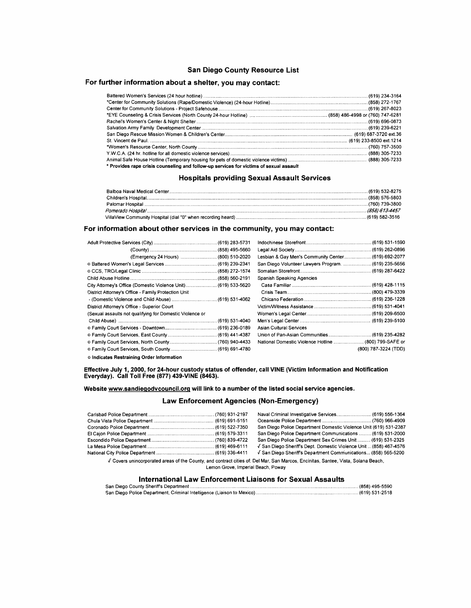#### **San Diego County Resource List**

#### **For further information about a shelter, you may contact:**

| * Provides rape crisis counseling and follow-up services for victims of sexual assault |  |
|----------------------------------------------------------------------------------------|--|

#### **Hospitals providing Sexual Assault Services**

#### **For information about other services in the community, you may contact:**

|                                                          | Lesbian & Gay Men's Community Center (619) 692-2077   |
|----------------------------------------------------------|-------------------------------------------------------|
|                                                          |                                                       |
|                                                          |                                                       |
|                                                          | Spanish Speaking Agencies                             |
|                                                          |                                                       |
| District Attorney's Office - Family Protection Unit      |                                                       |
|                                                          |                                                       |
| District Attorney's Office - Superior Court              |                                                       |
| (Sexual assaults not qualifying for Domestic Violence or |                                                       |
|                                                          |                                                       |
|                                                          | Asian Cultural Services                               |
|                                                          |                                                       |
|                                                          | National Domestic Violence Hotline  (800) 799-SAFE or |
|                                                          | (800) 787-3224 (TDD)                                  |
|                                                          |                                                       |

n Indicates Restraining Order Information

**Effective July 1, 2000, for 24-hour custody status of offender, call VINE (Victim Information and Notification Everyday). Call Toll Free (877) 439-VINE (8463).** 

**Website www.sandiegodvcouncil.org will link to a number of the listed social service agencies.** 

#### **Law Enforcement Agencies (Non-Emergency)**

|  | San Diego Police Department Domestic Violence Unit (619) 531-2387                                                   |
|--|---------------------------------------------------------------------------------------------------------------------|
|  | San Diego Police Department Communications  (619) 531-2000                                                          |
|  | San Diego Police Department Sex Crimes Unit  (619) 531-2325                                                         |
|  | √ San Diego Sheriff's Dept. Domestic Violence Unit  (858) 467-4576                                                  |
|  | √ San Diego Sheriff's Department Communications (858) 565-5200                                                      |
|  | .E.A. S.a. Steel and all and although the contract and all and all all all all although and all all although the ch |

.[ Covers unincorporated areas of the County, and contract cities of: Del Mar, San Marcos, Encinitas, Santee, Vista, Solana Beach, Lemon Grove, Imperial Beach, Poway

#### **International Law Enforcement Liaisons for Sexual Assaults**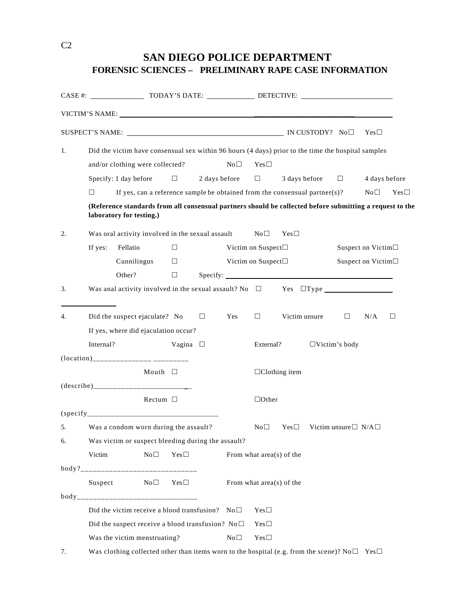## **SAN DIEGO POLICE DEPARTMENT FORENSIC SCIENCES – PRELIMINARY RAPE CASE INFORMATION**

|    |           |                                                                                                                                      |                              |                          |             |                             |                                            |                      | $Yes \Box$         |            |
|----|-----------|--------------------------------------------------------------------------------------------------------------------------------------|------------------------------|--------------------------|-------------|-----------------------------|--------------------------------------------|----------------------|--------------------|------------|
| 1. |           | Did the victim have consensual sex within 96 hours (4 days) prior to the time the hospital samples                                   |                              |                          |             |                             |                                            |                      |                    |            |
|    |           | and/or clothing were collected?                                                                                                      |                              |                          | $No\square$ | $Yes \Box$                  |                                            |                      |                    |            |
|    |           | Specify: 1 day before $\Box$ 2 days before $\Box$ 3 days before                                                                      |                              |                          |             |                             |                                            | $\Box$               | 4 days before      |            |
|    | $\Box$    | If yes, can a reference sample be obtained from the consensual partner $(s)$ ?                                                       |                              |                          |             |                             |                                            |                      | $No\square$        | $Yes \Box$ |
|    |           | (Reference standards from all consensual partners should be collected before submitting a request to the<br>laboratory for testing.) |                              |                          |             |                             |                                            |                      |                    |            |
| 2. |           | Was oral activity involved in the sexual assault                                                                                     |                              |                          |             | $No\square$                 | $Yes \Box$                                 |                      |                    |            |
|    | If yes:   | Fellatio                                                                                                                             | $\Box$                       |                          |             | Victim on Suspect           |                                            |                      | Suspect on Victim□ |            |
|    |           | Cunnilingus                                                                                                                          | $\Box$ and $\Box$ and $\Box$ |                          |             | Victim on Suspect $\square$ |                                            |                      | Suspect on Victim□ |            |
|    |           | Other?                                                                                                                               | $\Box$                       |                          |             |                             |                                            |                      |                    |            |
| 3. |           |                                                                                                                                      |                              |                          |             |                             |                                            |                      |                    |            |
| 4. |           | Did the suspect ejaculate? No                                                                                                        |                              | $\overline{\phantom{a}}$ | Yes         | $\Box$                      | Victim unsure                              | $\Box$               | N/A                | $\Box$     |
|    |           | If yes, where did ejaculation occur?                                                                                                 |                              |                          |             |                             |                                            |                      |                    |            |
|    | Internal? |                                                                                                                                      | Vagina $\square$             |                          |             | External?                   |                                            | $\Box$ Victim's body |                    |            |
|    |           |                                                                                                                                      |                              |                          |             |                             |                                            |                      |                    |            |
|    |           | Mouth $\Box$                                                                                                                         |                              |                          |             | $\Box$ Clothing item        |                                            |                      |                    |            |
|    |           |                                                                                                                                      |                              |                          |             |                             |                                            |                      |                    |            |
|    |           | Rectum $\Box$                                                                                                                        |                              |                          |             | $\Box$ Other                |                                            |                      |                    |            |
|    |           |                                                                                                                                      |                              |                          |             |                             |                                            |                      |                    |            |
| 5. |           | Was a condom worn during the assault?                                                                                                |                              |                          |             | $No\square$                 | Yes $\Box$ Victim unsure $\Box$ N/A $\Box$ |                      |                    |            |
| 6. |           | Was victim or suspect bleeding during the assault?                                                                                   |                              |                          |             |                             |                                            |                      |                    |            |
|    | Victim    | $No\square$                                                                                                                          | $Yes \Box$                   |                          |             | From what area(s) of the    |                                            |                      |                    |            |
|    |           |                                                                                                                                      |                              |                          |             |                             |                                            |                      |                    |            |
|    | Suspect   | $No \Box$ Yes                                                                                                                        |                              |                          |             | From what area(s) of the    |                                            |                      |                    |            |
|    |           | Did the victim receive a blood transfusion? No $\square$                                                                             |                              |                          |             | $Yes \Box$                  |                                            |                      |                    |            |
|    |           | Did the suspect receive a blood transfusion? No $\square$                                                                            |                              |                          |             | $Yes \Box$                  |                                            |                      |                    |            |
|    |           | Was the victim menstruating?                                                                                                         |                              |                          | $No\square$ | $Yes \Box$                  |                                            |                      |                    |            |

7. Was clothing collected other than items worn to the hospital (e.g. from the scene)? No $\Box$  Yes $\Box$ 7.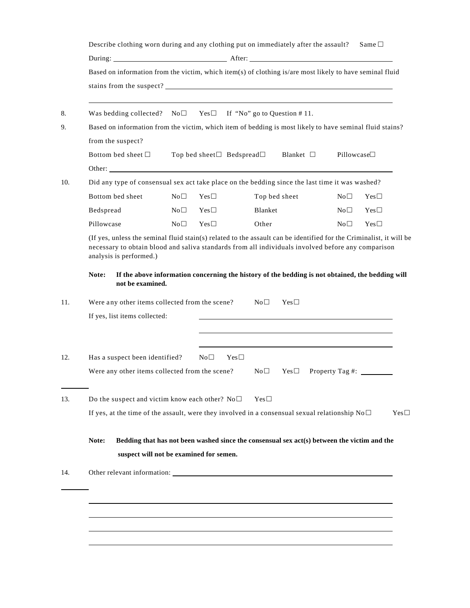| Based on information from the victim, which item(s) of clothing is/are most likely to have seminal fluid                                                                                                                      |             |                                       |                           |                |                                                                                               |            |
|-------------------------------------------------------------------------------------------------------------------------------------------------------------------------------------------------------------------------------|-------------|---------------------------------------|---------------------------|----------------|-----------------------------------------------------------------------------------------------|------------|
| stains from the suspect?                                                                                                                                                                                                      |             |                                       |                           |                |                                                                                               |            |
| Was bedding collected? No $\square$ Yes $\square$ If "No" go to Question #11.                                                                                                                                                 |             |                                       |                           |                |                                                                                               |            |
| Based on information from the victim, which item of bedding is most likely to have seminal fluid stains?                                                                                                                      |             |                                       |                           |                |                                                                                               |            |
| from the suspect?                                                                                                                                                                                                             |             |                                       |                           |                |                                                                                               |            |
| Bottom bed sheet $\square$                                                                                                                                                                                                    |             | Top bed sheet $\Box$ Bedspread $\Box$ |                           | Blanket $\Box$ | Pillowcase□                                                                                   |            |
| Did any type of consensual sex act take place on the bedding since the last time it was washed?                                                                                                                               |             |                                       |                           |                |                                                                                               |            |
| Bottom bed sheet                                                                                                                                                                                                              | $No\square$ | $Yes \Box$                            |                           | Top bed sheet  | $No\square$                                                                                   | $Yes \Box$ |
| Bedspread                                                                                                                                                                                                                     | $No\square$ | $Yes \Box$                            | Blanket                   |                | $No\square$                                                                                   | $Yes \Box$ |
| Pillowcase                                                                                                                                                                                                                    | $No\square$ | $Yes \Box$                            | Other                     |                | $No\square$                                                                                   | $Yes \Box$ |
|                                                                                                                                                                                                                               |             |                                       |                           |                |                                                                                               |            |
| Note:<br>If the above information concerning the history of the bedding is not obtained, the bedding will<br>not be examined.                                                                                                 |             |                                       |                           |                |                                                                                               |            |
| Were any other items collected from the scene?<br>If yes, list items collected:                                                                                                                                               |             |                                       | $No\square$               | $Yes \Box$     |                                                                                               |            |
| Has a suspect been identified?<br>Were any other items collected from the scene?                                                                                                                                              |             | No <sub>1</sub>                       | $Yes \Box$<br>$No\square$ | $Yes \Box$     |                                                                                               |            |
| Do the suspect and victim know each other? No $\square$                                                                                                                                                                       |             |                                       | $Yes \Box$                |                |                                                                                               |            |
| If yes, at the time of the assault, were they involved in a consensual sexual relationship No $\square$                                                                                                                       |             |                                       |                           |                |                                                                                               | $Yes \Box$ |
| Note:<br>suspect will not be examined for semen.                                                                                                                                                                              |             |                                       |                           |                | Bedding that has not been washed since the consensual sex $act(s)$ between the victim and the |            |
|                                                                                                                                                                                                                               |             |                                       |                           |                |                                                                                               |            |
| Other relevant information: Notice of the set of the set of the set of the set of the set of the set of the set of the set of the set of the set of the set of the set of the set of the set of the set of the set of the set |             |                                       |                           |                |                                                                                               |            |
|                                                                                                                                                                                                                               |             |                                       |                           |                |                                                                                               |            |
|                                                                                                                                                                                                                               |             |                                       |                           |                |                                                                                               |            |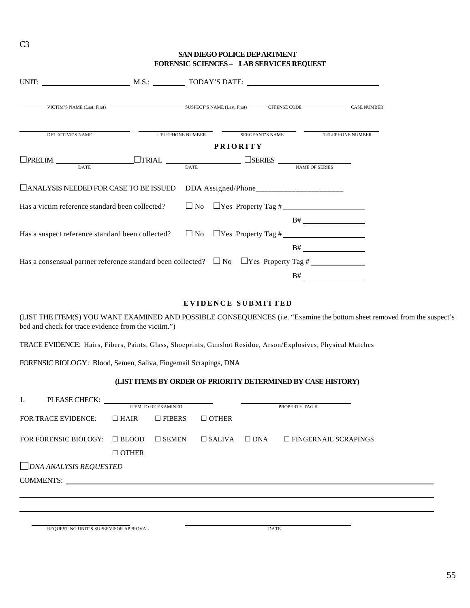$C3$ 

#### **SAN DIEGO POLICE DEPARTMENT**� **FORENSIC SCIENCES – LAB SERVICES REQUEST** �

| VICTIM'S NAME (Last, First)                                                                     |                         | SUSPECT'S NAME (Last, First) OFFENSE CODE |                 | <b>CASE NUMBER</b> |
|-------------------------------------------------------------------------------------------------|-------------------------|-------------------------------------------|-----------------|--------------------|
| DETECTIVE'S NAME                                                                                | <b>TELEPHONE NUMBER</b> |                                           | SERGEANT'S NAME | TELEPHONE NUMBER   |
| $\Box$ PRELIM. $\Box$ DATE $\Box$ TRIAL $\Box$ DATE $\Box$ SERIES $\Box$ NAME OF SERIES         |                         | <b>PRIORITY</b>                           |                 |                    |
| $\Box$ ANALYSIS NEEDED FOR CASE TO BE ISSUED                                                    |                         |                                           |                 |                    |
| Has a victim reference standard been collected?                                                 |                         |                                           |                 |                    |
| Has a suspect reference standard been collected? $\Box$ No $\Box$ Yes Property Tag #            |                         |                                           |                 |                    |
|                                                                                                 |                         |                                           |                 |                    |
| Has a consensual partner reference standard been collected? $\Box$ No $\Box$ Yes Property Tag # |                         |                                           |                 |                    |
|                                                                                                 |                         |                                           | B#              |                    |

#### **E V I D E N C E S U B M I T T E D**

(LIST THE ITEM(S) YOU WANT EXAMINED AND POSSIBLE CONSEQUENCES (i.e. "Examine the bottom sheet removed from the suspect's bed and check for trace evidence from the victim.")

TRACE EVIDENCE: Hairs, Fibers, Paints, Glass, Shoeprints, Gunshot Residue, Arson/Explosives, Physical Matches

FORENSIC BIOLOGY: Blood, Semen, Saliva, Fingernail Scrapings, DNA

#### **(LIST ITEMS BY ORDER OF PRIORITY DETERMINED BY CASE HISTORY)**

| 1.<br>PLEASE CHECK:                                                                                                                                                                                                                 |              | ITEM TO BE EXAMINED |                  |            | PROPERTY TAG#               |  |
|-------------------------------------------------------------------------------------------------------------------------------------------------------------------------------------------------------------------------------------|--------------|---------------------|------------------|------------|-----------------------------|--|
|                                                                                                                                                                                                                                     |              |                     |                  |            |                             |  |
| <b>FOR TRACE EVIDENCE:</b>                                                                                                                                                                                                          | $\Box$ HAIR  | $\Box$ FIBERS       | $\Box$ OTHER     |            |                             |  |
| FOR FORENSIC BIOLOGY: $\Box$ BLOOD                                                                                                                                                                                                  |              | $\square$ SEMEN     | $\square$ SALIVA | $\Box$ DNA | $\Box$ FINGERNAIL SCRAPINGS |  |
|                                                                                                                                                                                                                                     | $\Box$ OTHER |                     |                  |            |                             |  |
| $\Box$ DNA ANALYSIS REQUESTED                                                                                                                                                                                                       |              |                     |                  |            |                             |  |
| <b>COMMENTS:</b> THE SECOND SECOND SECOND SECOND SECOND SECOND SECOND SECOND SECOND SECOND SECOND SECOND SECOND SECOND SECOND SECOND SECOND SECOND SECOND SECOND SECOND SECOND SECOND SECOND SECOND SECOND SECOND SECOND SECOND SEC |              |                     |                  |            |                             |  |
|                                                                                                                                                                                                                                     |              |                     |                  |            |                             |  |
|                                                                                                                                                                                                                                     |              |                     |                  |            |                             |  |
|                                                                                                                                                                                                                                     |              |                     |                  |            |                             |  |

REQUESTING UNIT'S SUPERVISOR APPROVAL **with a contract of the UNITE** DATE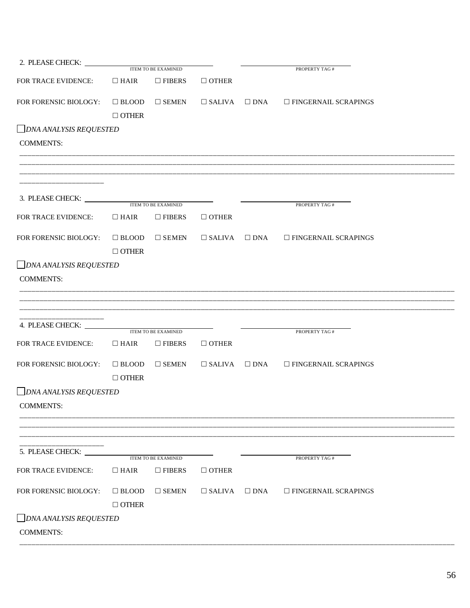| 2. PLEASE CHECK:                                  |                                 | <b>ITEM TO BE EXAMINED</b>           |                          |            | PROPERTY TAG #              |  |
|---------------------------------------------------|---------------------------------|--------------------------------------|--------------------------|------------|-----------------------------|--|
| FOR TRACE EVIDENCE:                               | $\Box$ HAIR                     | $\Box$ FIBERS                        | $\Box$ OTHER             |            |                             |  |
| FOR FORENSIC BIOLOGY:                             | $\Box$ BLOOD<br>$\Box$ OTHER    | $\Box$ SEMEN                         | $\Box$ SALIVA $\Box$ DNA |            | □ FINGERNAIL SCRAPINGS      |  |
| <b>DNA ANALYSIS REQUESTED</b>                     |                                 |                                      |                          |            |                             |  |
| <b>COMMENTS:</b>                                  |                                 |                                      |                          |            |                             |  |
|                                                   |                                 |                                      |                          |            |                             |  |
|                                                   |                                 |                                      |                          |            |                             |  |
| FOR TRACE EVIDENCE:                               | $\Box$ HAIR                     | ITEM TO BE EXAMINED<br>$\Box$ FIBERS | $\Box$ OTHER             |            | PROPERTY TAG #              |  |
|                                                   |                                 |                                      |                          |            |                             |  |
| FOR FORENSIC BIOLOGY:                             | $\Box$ BLOOD                    | $\Box$ SEMEN                         | $\Box$ SALIVA $\Box$ DNA |            | □ FINGERNAIL SCRAPINGS      |  |
| <b>DNA ANALYSIS REQUESTED</b><br><b>COMMENTS:</b> | $\Box$ OTHER                    |                                      |                          |            |                             |  |
|                                                   |                                 |                                      |                          |            |                             |  |
| 4. PLEASE CHECK:                                  |                                 | <b>ITEM TO BE EXAMINED</b>           |                          |            | PROPERTY TAG #              |  |
| FOR TRACE EVIDENCE:                               | $\Box$ HAIR                     | $\Box$ FIBERS                        | $\Box$ OTHER             |            |                             |  |
| FOR FORENSIC BIOLOGY:                             | $\Box$ BLOOD<br>$\Box$ OTHER    | $\Box$ SEMEN                         | $\Box$ SALIVA $\Box$ DNA |            | □ FINGERNAIL SCRAPINGS      |  |
| <b>DNA ANALYSIS REQUESTED</b>                     |                                 |                                      |                          |            |                             |  |
| <b>COMMENTS:</b>                                  |                                 |                                      |                          |            |                             |  |
|                                                   |                                 |                                      |                          |            |                             |  |
| 5. PLEASE CHECK:                                  |                                 | <b>ITEM TO BE EXAMINED</b>           |                          |            | PROPERTY TAG #              |  |
| FOR TRACE EVIDENCE:                               | $\Box$<br>HAIR                  | $\Box$ FIBERS                        | $\Box$ OTHER             |            |                             |  |
| FOR FORENSIC BIOLOGY:                             | $\Box$<br>BLOOD<br>$\Box$ OTHER | $\square$ SEMEN                      | $\square$ SALIVA         | $\Box$ DNA | $\Box$ FINGERNAIL SCRAPINGS |  |
| <b>DNA ANALYSIS REQUESTED</b><br><b>COMMENTS:</b> |                                 |                                      |                          |            |                             |  |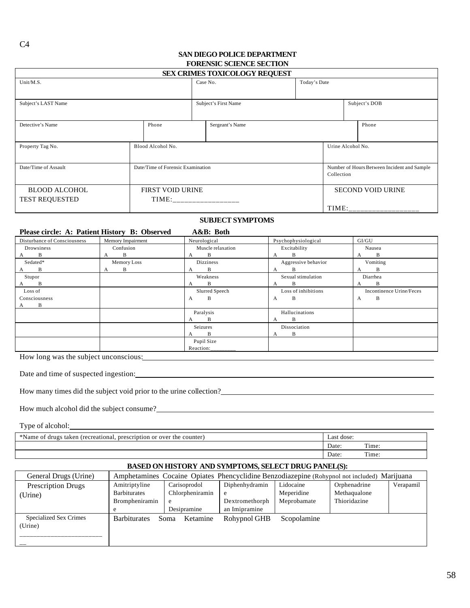## **SAN DIEGO POLICE DEPARTMENT FORENSIC SCIENCE SECTION**

| SEX CRIMES TOXICOLOGY REQUEST                             |  |                          |                          |                      |                          |                   |       |                                             |
|-----------------------------------------------------------|--|--------------------------|--------------------------|----------------------|--------------------------|-------------------|-------|---------------------------------------------|
| Unit/M.S.                                                 |  |                          | Today's Date<br>Case No. |                      |                          |                   |       |                                             |
|                                                           |  |                          |                          |                      |                          |                   |       |                                             |
| Subject's LAST Name                                       |  |                          |                          | Subject's First Name |                          |                   |       | Subject's DOB                               |
|                                                           |  |                          |                          |                      |                          |                   |       |                                             |
| Detective's Name<br>Phone                                 |  |                          | Sergeant's Name          |                      |                          |                   | Phone |                                             |
|                                                           |  |                          |                          |                      |                          |                   |       |                                             |
| Property Tag No.                                          |  | Blood Alcohol No.        |                          |                      |                          | Urine Alcohol No. |       |                                             |
|                                                           |  |                          |                          |                      |                          |                   |       |                                             |
| Date/Time of Assault<br>Date/Time of Forensic Examination |  |                          |                          |                      |                          |                   |       | Number of Hours Between Incident and Sample |
|                                                           |  |                          |                          |                      |                          | Collection        |       |                                             |
| <b>FIRST VOID URINE</b><br><b>BLOOD ALCOHOL</b>           |  |                          |                          |                      | <b>SECOND VOID URINE</b> |                   |       |                                             |
| <b>TEST REQUESTED</b>                                     |  | TIME:___________________ |                          |                      |                          |                   |       |                                             |
|                                                           |  |                          |                          |                      |                          |                   |       |                                             |

#### **SUBJECT SYMPTOMS**

#### **Please circle: A: Patient History B: Observed A&B: Both**

| Disturbance of Consciousness | Memory Impairment | Neurological        | Psychophysiological                         | GI/GU                    |
|------------------------------|-------------------|---------------------|---------------------------------------------|--------------------------|
| Drowsiness                   | Confusion         | Muscle relaxation   | Excitability                                | Nausea                   |
| $A$ $B$                      | B<br>A            | $\overline{B}$<br>A | $\overline{\phantom{a}}^{\phantom{a}}$<br>A | A B                      |
| Sedated*                     | Memory Loss       | <b>Dizziness</b>    | Aggressive behavior                         | Vomiting                 |
| $\mathbf{B}$<br>A            | B<br>A            | B<br>A              | B<br>A                                      | $\overline{B}$<br>A      |
| Stupor                       |                   | Weakness            | Sexual stimulation                          | Diarrhea                 |
| B<br>A                       |                   | B<br>A              | B<br>A                                      | B<br>A                   |
| Loss of                      |                   | Slurred Speech      | Loss of inhibitions                         | Incontinence Urine/Feces |
| Consciousness                |                   | B<br>A              | B<br>A                                      | B<br>A                   |
| B<br>A                       |                   |                     |                                             |                          |
|                              |                   | Paralysis           | Hallucinations                              |                          |
|                              |                   | B<br>А              | B<br>A                                      |                          |
|                              |                   | Seizures            | Dissociation                                |                          |
|                              |                   | - B<br>А            | B<br>A                                      |                          |
|                              |                   | Pupil Size          |                                             |                          |
|                              |                   | Reaction:           |                                             |                          |

How long was the subject unconscious:

Date and time of suspected ingestion:

How many times did the subject void prior to the urine collection?

How much alcohol did the subject consume?

Type of alcohol:

| *Name<br>the counter)<br>taken<br>(recreational,<br>prescription or over<br>drugs<br>$\Omega$ | Last dose: |              |
|-----------------------------------------------------------------------------------------------|------------|--------------|
|                                                                                               | Date:      | m.<br>l'ime: |
|                                                                                               | Date:      | m.<br>l'ime: |

#### **BASED ON HISTORY AND SYMPTOMS, SELECT DRUG PANEL(S):**

| General Drugs (Urine)             |                                      |                                 |                     |                         | Amphetamines Cocaine Opiates Phencyclidine Benzodiazepine (Rohypnol not included) Marijuana |           |
|-----------------------------------|--------------------------------------|---------------------------------|---------------------|-------------------------|---------------------------------------------------------------------------------------------|-----------|
| <b>Prescription Drugs</b>         | Amitriptyline<br><b>Barbiturates</b> | Carisoprodol<br>Chlorpheniramin | Diphenhydramin<br>e | Lidocaine<br>Meperidine | Orphenadrine<br>Methaqualone                                                                | Verapamil |
| (Urine)                           | Brompheniramin                       | e                               | Dextromethorph      | Meprobamate             | Thioridazine                                                                                |           |
|                                   | e                                    | Desipramine                     | an Imipramine       |                         |                                                                                             |           |
| Specialized Sex Crimes<br>(Urine) | <b>Barbiturates</b>                  | Ketamine<br>Soma                | Rohypnol GHB        | Scopolamine             |                                                                                             |           |
|                                   |                                      |                                 |                     |                         |                                                                                             |           |

 $C<sub>4</sub>$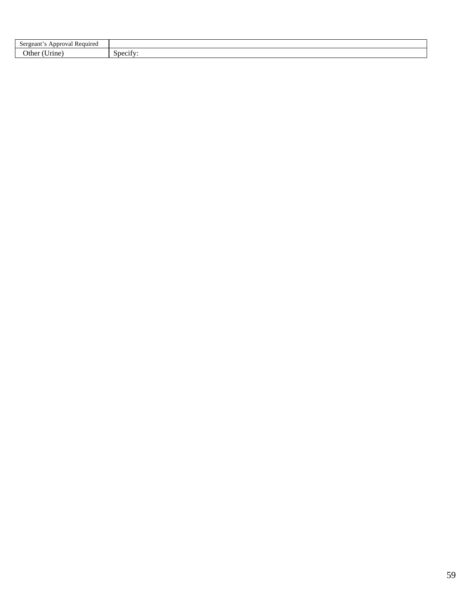| 2.04<br>\ nnrova<br>$^{\circ}$ Pequiten<br>an<br>້<br>$\sim$ $\sim$ |   |
|---------------------------------------------------------------------|---|
| $1 + L$<br><b>Construction</b><br>--                                | ∽ |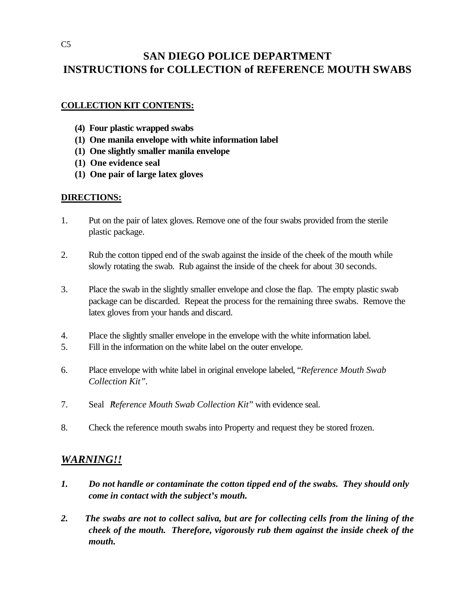## **SAN DIEGO POLICE DEPARTMENT INSTRUCTIONS for COLLECTION of REFERENCE MOUTH SWABS**

## **COLLECTION KIT CONTENTS:**

- **(4) Four plastic wrapped swabs**
- **(1) One manila envelope with white information label**
- **(1) One slightly smaller manila envelope**
- **(1) One evidence seal**
- **(1) One pair of large latex gloves**

## **DIRECTIONS:**

- 1. Put on the pair of latex gloves. Remove one of the four swabs provided from the sterile plastic package.
- $\overline{2}$ . Rub the cotton tipped end of the swab against the inside of the cheek of the mouth while slowly rotating the swab. Rub against the inside of the cheek for about 30 seconds.
- 3. Place the swab in the slightly smaller envelope and close the flap. The empty plastic swab package can be discarded. Repeat the process for the remaining three swabs. Remove the latex gloves from your hands and discard.
- $\overline{4}$ . Place the slightly smaller envelope in the envelope with the white information label.
- 5. Fill in the information on the white label on the outer envelope.
- 6. Place envelope with white label in original envelope labeled, "*Reference Mouth Swab Collection Kit".*
- $7.$ Seal *Reference Mouth Swab Collection Kit*" with evidence seal.
- 8. Check the reference mouth swabs into Property and request they be stored frozen.

## *WARNING!!*

- *1. Do not handle or contaminate the cotton tipped end of the swabs. They should only come in contact with the subject's mouth.*
- *2. The swabs are not to collect saliva, but are for collecting cells from the lining of the cheek of the mouth. Therefore, vigorously rub them against the inside cheek of the mouth.*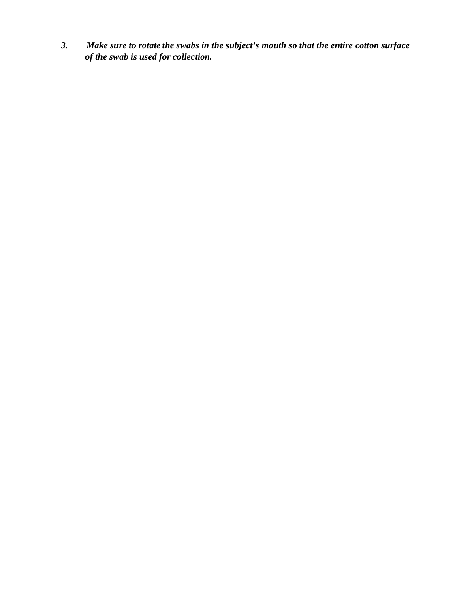*3. Make sure to rotate the swabs in the subject's mouth so that the entire cotton surface of the swab is used for collection.*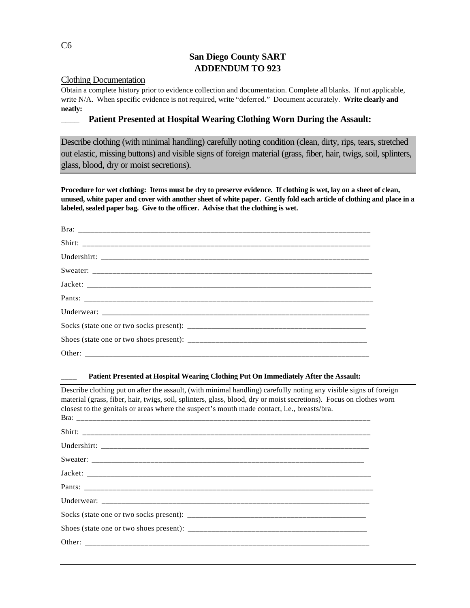## **San Diego County SART** � **ADDENDUM TO 923** �

#### **Clothing Documentation**

 **neatly:** � Obtain a complete history prior to evidence collection and documentation. Complete all blanks. If not applicable, write N/A. When specific evidence is not required, write "deferred." Document accurately. **Write clearly and** 

### \_\_\_\_ **Patient Presented at Hospital Wearing Clothing Worn During the Assault:** �

Describe clothing (with minimal handling) carefully noting condition (clean, dirty, rips, tears, stretched out elastic, missing buttons) and visible signs of foreign material (grass, fiber, hair, twigs, soil, splinters, glass, blood, dry or moist secretions).

**Procedure for wet clothing: Items must be dry to preserve evidence. If clothing is wet, lay on a sheet of clean, unused, white paper and cover with another sheet of white paper. Gently fold each article of clothing and place in a labeled, sealed paper bag. Give to the officer. Advise that the clothing is wet.** 

#### Patient Presented at Hospital Wearing Clothing Put On Immediately After the Assault:

Describe clothing put on after the assault, (with minimal handling) carefully noting any visible signs of foreign material (grass, fiber, hair, twigs, soil, splinters, glass, blood, dry or moist secretions). Focus on clothes worn closest to the genitals or areas where the suspect's mouth made contact, i.e., breasts/bra. Bra: \_\_\_\_\_\_\_\_\_\_\_\_\_\_\_\_\_\_\_\_\_\_\_\_\_\_\_\_\_\_\_\_\_\_\_\_\_\_\_\_\_\_\_\_\_\_\_\_\_\_\_\_\_\_\_\_\_\_\_\_\_\_\_\_\_\_\_\_\_\_\_\_\_ Shirt: \_\_\_\_\_\_\_\_\_\_\_\_\_\_\_\_\_\_\_\_\_\_\_\_\_\_\_\_\_\_\_\_\_\_\_\_\_\_\_\_\_\_\_\_\_\_\_\_\_\_\_\_\_\_\_\_\_\_\_\_\_\_\_\_\_\_\_\_\_\_\_\_ Undershirt: Sweater: Jacket: \_\_\_\_\_\_\_\_\_\_\_\_\_\_\_\_\_\_\_\_\_\_\_\_\_\_\_\_\_\_\_\_\_\_\_\_\_\_\_\_\_\_\_\_\_\_\_\_\_\_\_\_\_\_\_\_\_\_\_\_\_\_\_\_\_\_\_\_\_\_\_ Pants: Underwear: Socks (state one or two socks present): \_\_\_\_\_\_\_\_\_\_\_\_\_\_\_\_\_\_\_\_\_\_\_\_\_\_\_\_\_\_\_\_\_\_\_\_\_\_\_\_\_\_\_\_\_ Shoes (state one or two shoes present): Other: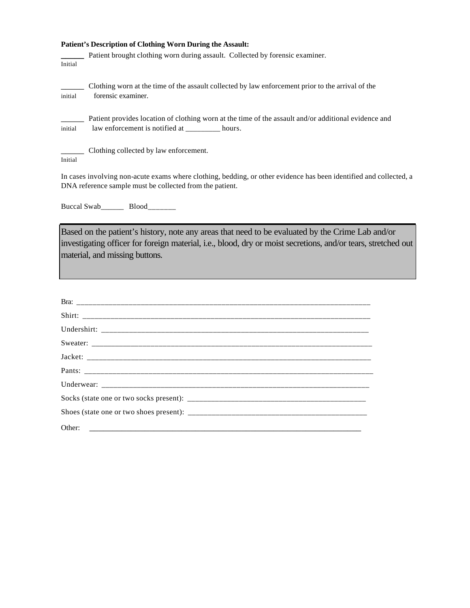#### **Patient's Description of Clothing Worn During the Assault:**

Initial **\_\_\_\_\_** Patient brought clothing worn during assault. Collected by forensic examiner.

initial forensic examiner. \_\_\_\_\_ Clothing worn at the time of the assault collected by law enforcement prior to the arrival of the

\_\_\_\_\_ Patient provides location of clothing worn at the time of the assault and/or additional evidence and initial law enforcement is notified at \_\_\_\_\_\_\_\_\_ hours.

\_\_\_\_\_ Clothing collected by law enforcement. �

Initial

DNA reference sample must be collected from the patient. In cases involving non-acute exams where clothing, bedding, or other evidence has been identified and collected, a

Buccal Swab\_\_\_\_\_\_\_\_ Blood\_\_\_\_\_\_\_

material, and missing buttons. Based on the patient's history, note any areas that need to be evaluated by the Crime Lab and/or investigating officer for foreign material, i.e., blood, dry or moist secretions, and/or tears, stretched out

| material, and missing buttons. |
|--------------------------------|
|                                |
|                                |
|                                |
|                                |
|                                |
|                                |
|                                |
|                                |
|                                |
|                                |
|                                |
| Other:                         |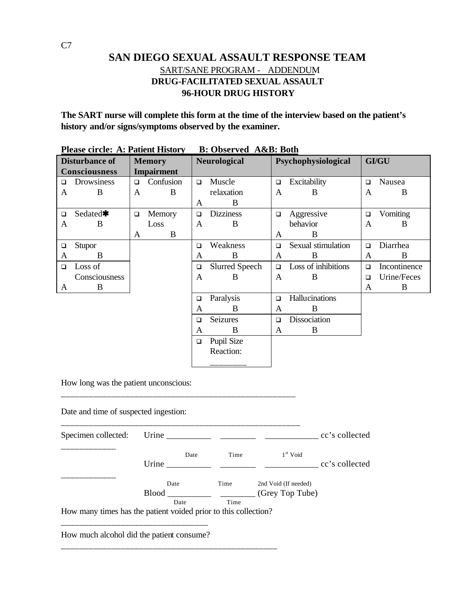## **SAN DIEGO SEXUAL ASSAULT RESPONSE TEAM**  SART/SANE PROGRAM - ADDENDUM **DRUG-FACILITATED SEXUAL ASSAULT 96-HOUR DRUG HISTORY**

**The SART nurse will complete this form at the time of the interview based on the patient's history and/or signs/symptoms observed by the examiner.** 

| Please circle: A: Patient History |                      |        | в: Observed A&B: B0th |                     |                   |                     |                     |              |              |
|-----------------------------------|----------------------|--------|-----------------------|---------------------|-------------------|---------------------|---------------------|--------------|--------------|
| <b>Disturbance of</b>             |                      |        | <b>Memory</b>         | <b>Neurological</b> |                   | Psychophysiological |                     | <b>GI/GU</b> |              |
|                                   | <b>Consciousness</b> |        | <b>Impairment</b>     |                     |                   |                     |                     |              |              |
| □                                 | Drowsiness           | $\Box$ | Confusion             | $\Box$              | Muscle            | $\Box$              | Excitability        | $\Box$       | Nausea       |
| A                                 | B                    | A      | B                     |                     | relaxation        | A                   | B                   | A            | B            |
|                                   |                      |        |                       | A                   | B                 |                     |                     |              |              |
| $\Box$                            | Sedated*             | $\Box$ | Memory                | $\Box$              | <b>Dizziness</b>  | □                   | Aggressive          | $\Box$       | Vomiting     |
| A                                 | B                    |        | Loss                  | A                   | B                 |                     | behavior            | A            | B            |
|                                   |                      | A      | B                     |                     |                   | A                   | B                   |              |              |
| ❏                                 | Stupor               |        |                       | $\Box$              | Weakness          | □                   | Sexual stimulation  | $\Box$       | Diarrhea     |
| A                                 | B                    |        |                       | A                   | B                 | A                   | B                   | A            | B            |
| $\Box$                            | Loss of              |        |                       | $\Box$              | Slurred Speech    | $\Box$              | Loss of inhibitions | $\Box$       | Incontinence |
|                                   | Consciousness        |        |                       | A                   | B                 | A                   | B                   | $\Box$       | Urine/Feces  |
| A                                 | B                    |        |                       |                     |                   |                     |                     | A            | B            |
|                                   |                      |        |                       | $\Box$              | Paralysis         | $\Box$              | Hallucinations      |              |              |
|                                   |                      |        |                       | A                   | B                 | A                   | B                   |              |              |
|                                   |                      |        |                       | $\Box$              | Seizures          | $\Box$              | Dissociation        |              |              |
|                                   |                      |        |                       | A                   | B                 | A                   | B                   |              |              |
|                                   |                      |        |                       | $\Box$              | <b>Pupil Size</b> |                     |                     |              |              |
|                                   |                      |        |                       |                     | Reaction:         |                     |                     |              |              |
|                                   |                      |        |                       |                     |                   |                     |                     |              |              |

\_\_\_\_\_\_\_\_\_\_\_\_\_\_\_\_\_\_\_\_\_\_\_\_\_\_\_\_\_\_\_\_\_\_\_\_\_\_\_\_\_\_\_\_\_\_\_\_\_\_\_

How long was the patient unconscious:

Date and time of suspected ingestion:

| Specimen collected:                                             |              |      |      |                      | cc's collected |
|-----------------------------------------------------------------|--------------|------|------|----------------------|----------------|
|                                                                 |              | Date | Time | $1st$ Void           |                |
|                                                                 | Urine        |      |      |                      | cc's collected |
|                                                                 | Date         |      | Time | 2nd Void (If needed) |                |
|                                                                 | <b>Blood</b> |      |      | (Grey Top Tube)      |                |
|                                                                 |              | Date | Time |                      |                |
| How many times has the patient voided prior to this collection? |              |      |      |                      |                |

How much alcohol did the patient consume?

\_\_\_\_\_\_\_\_\_\_\_\_\_\_\_\_\_\_\_\_\_\_\_\_\_\_\_\_\_\_\_\_\_\_\_\_\_\_\_\_\_\_\_\_\_\_\_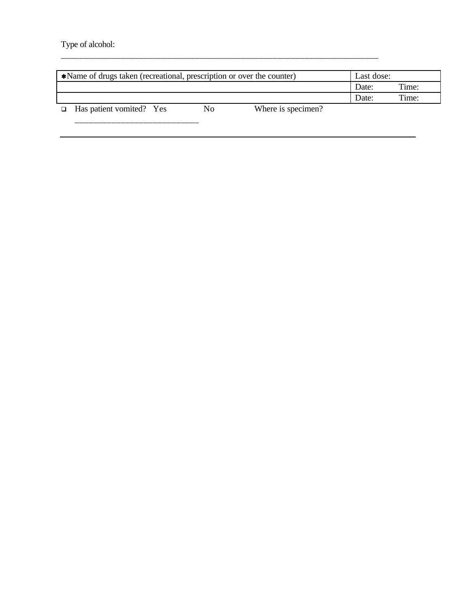## Type of alcohol:

| *Name of drugs taken (recreational, prescription or over the counter) |                                 |  |    |                    | Last dose: |       |
|-----------------------------------------------------------------------|---------------------------------|--|----|--------------------|------------|-------|
|                                                                       |                                 |  |    |                    | Date:      | Time: |
|                                                                       |                                 |  |    |                    | Date:      | Time: |
|                                                                       | $\Box$ Has patient vomited? Yes |  | No | Where is specimen? |            |       |

\_\_\_\_\_\_\_\_\_\_\_\_\_\_\_\_\_\_\_\_\_\_\_\_\_\_\_\_\_\_\_\_\_\_\_\_\_\_\_\_\_\_\_\_\_\_\_\_\_\_\_\_\_\_\_\_\_\_\_\_\_\_\_\_\_\_\_\_\_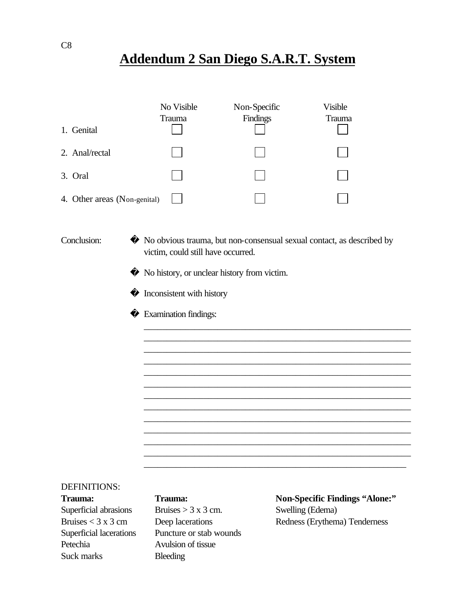# **Addendum 2 San Diego S.A.R.T. System**



Conclusion: No obvious trauma, but non-consensual sexual contact, as described by victim, could still have occurred.

> \_\_\_\_\_\_\_\_\_\_\_\_\_\_\_\_\_\_\_\_\_\_\_\_\_\_\_\_\_\_\_\_\_\_\_\_\_\_\_\_\_\_\_\_\_\_\_\_\_\_\_\_\_\_\_\_\_\_ \_\_\_\_\_\_\_\_\_\_\_\_\_\_\_\_\_\_\_\_\_\_\_\_\_\_\_\_\_\_\_\_\_\_\_\_\_\_\_\_\_\_\_\_\_\_\_\_\_\_\_\_\_\_\_\_\_\_ \_\_\_\_\_\_\_\_\_\_\_\_\_\_\_\_\_\_\_\_\_\_\_\_\_\_\_\_\_\_\_\_\_\_\_\_\_\_\_\_\_\_\_\_\_\_\_\_\_\_\_\_\_\_\_\_\_\_ \_\_\_\_\_\_\_\_\_\_\_\_\_\_\_\_\_\_\_\_\_\_\_\_\_\_\_\_\_\_\_\_\_\_\_\_\_\_\_\_\_\_\_\_\_\_\_\_\_\_\_\_\_\_\_\_\_\_ \_\_\_\_\_\_\_\_\_\_\_\_\_\_\_\_\_\_\_\_\_\_\_\_\_\_\_\_\_\_\_\_\_\_\_\_\_\_\_\_\_\_\_\_\_\_\_\_\_\_\_\_\_\_\_\_\_\_ \_\_\_\_\_\_\_\_\_\_\_\_\_\_\_\_\_\_\_\_\_\_\_\_\_\_\_\_\_\_\_\_\_\_\_\_\_\_\_\_\_\_\_\_\_\_\_\_\_\_\_\_\_\_\_\_\_\_ \_\_\_\_\_\_\_\_\_\_\_\_\_\_\_\_\_\_\_\_\_\_\_\_\_\_\_\_\_\_\_\_\_\_\_\_\_\_\_\_\_\_\_\_\_\_\_\_\_\_\_\_\_\_\_\_\_\_ \_\_\_\_\_\_\_\_\_\_\_\_\_\_\_\_\_\_\_\_\_\_\_\_\_\_\_\_\_\_\_\_\_\_\_\_\_\_\_\_\_\_\_\_\_\_\_\_\_\_\_\_\_\_\_\_\_\_ \_\_\_\_\_\_\_\_\_\_\_\_\_\_\_\_\_\_\_\_\_\_\_\_\_\_\_\_\_\_\_\_\_\_\_\_\_\_\_\_\_\_\_\_\_\_\_\_\_\_\_\_\_\_\_\_\_\_ \_\_\_\_\_\_\_\_\_\_\_\_\_\_\_\_\_\_\_\_\_\_\_\_\_\_\_\_\_\_\_\_\_\_\_\_\_\_\_\_\_\_\_\_\_\_\_\_\_\_\_\_\_\_\_\_\_\_ \_\_\_\_\_\_\_\_\_\_\_\_\_\_\_\_\_\_\_\_\_\_\_\_\_\_\_\_\_\_\_\_\_\_\_\_\_\_\_\_\_\_\_\_\_\_\_\_\_\_\_\_\_\_\_\_\_\_ \_\_\_\_\_\_\_\_\_\_\_\_\_\_\_\_\_\_\_\_\_\_\_\_\_\_\_\_\_\_\_\_\_\_\_\_\_\_\_\_\_\_\_\_\_\_\_\_\_\_\_\_\_\_\_\_\_\_ \_\_\_\_\_\_\_\_\_\_\_\_\_\_\_\_\_\_\_\_\_\_\_\_\_\_\_\_\_\_\_\_\_\_\_\_\_\_\_\_\_\_\_\_\_\_\_\_\_\_\_\_\_\_\_\_\_

� No history, or unclear history from victim.

� Inconsistent with history

**Examination findings:** 

#### DEFINITIONS:

Petechia Avulsion of tissue Suck marks Bleeding

#### Trauma:

Superficial abrasions Bruises  $> 3 \times 3$  cm. Swelling (Edema) Superficial lacerations Puncture or stab wounds

# **Trauma:** Trauma: Trauma: **Non-Specific Findings "Alone:"** Bruises < 3 x 3 cm Deep lacerations Redness (Erythema) Tenderness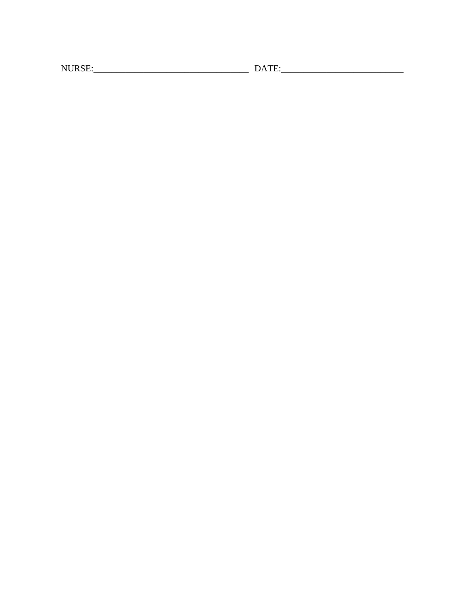NURSE: DATE: DATE: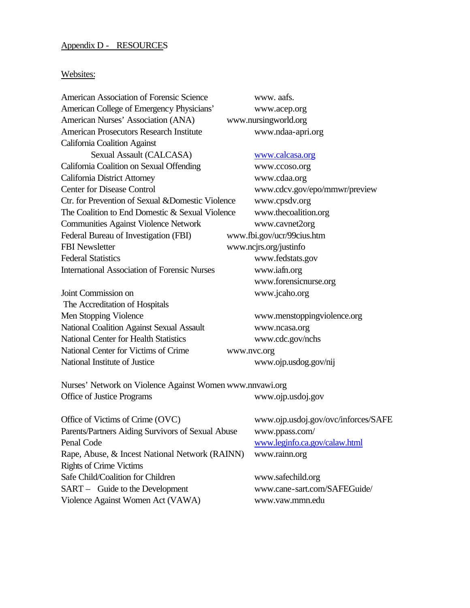#### Appendix D - RESOURCES

#### Websites:

 American Association of Forensic Science www. aafs. American College of Emergency Physicians' www.acep.org American Nurses' Association (ANA) www.nursingworld.org American Prosecutors Research Institute www.ndaa-apri.org Sexual Assault (CALCASA) www.calcasa.org California Coalition on Sexual Offending www.ccoso.org California District Attorney www.cdaa.org **Center for Disease Control**  Communities Against Violence Network www.cavnet2org Federal Bureau of Investigation (FBI) www.fbi.gov/ucr/99cius.htm **FBI** Newsletter **Federal Statistics**  International Association of Forensic Nurses www.iafn.org California Coalition Against Ctr. for Prevention of Sexual &Domestic Violence www.cpsdv.org The Coalition to End Domestic & Sexual Violence www.thecoalition.org

 Joint Commission on www.jcaho.org Men Stopping Violence National Coalition Against Sexual Assault www.ncasa.org National Center for Health Statistics www.cdc.gov/nchs National Center for Victims of Crime www.nvc.org National Institute of Justice The Accreditation of Hospitals

www.cdcv.gov/epo/mmwr/preview www.ncjrs.org/justinfo www.fedstats.gov www.forensicnurse.org

www.menstoppingviolence.org

www.ojp.usdog.gov/nij

 Office of Justice Programs www.ojp.usdoj.gov Nurses' Network on Violence Against Women www.nnvawi.org

| Office of Victims of Crime (OVC)                  | www.ojp.usdoj.gov/ovc/inforces/SAFE |
|---------------------------------------------------|-------------------------------------|
| Parents/Partners Aiding Survivors of Sexual Abuse | www.ppass.com/                      |
| Penal Code                                        | www.leginfo.ca.gov/calaw.html       |
| Rape, Abuse, & Incest National Network (RAINN)    | www.rainn.org                       |
| <b>Rights of Crime Victims</b>                    |                                     |
| Safe Child/Coalition for Children                 | www.safechild.org                   |
| SART – Guide to the Development                   | www.cane-sart.com/SAFEGuide/        |
| Violence Against Women Act (VAWA)                 | www.vaw.mmn.edu                     |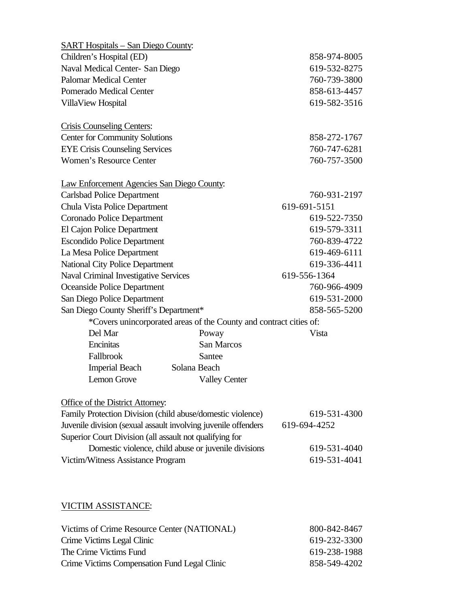| <b>SART Hospitals - San Diego County:</b>                      |                                                                    |              |
|----------------------------------------------------------------|--------------------------------------------------------------------|--------------|
| Children's Hospital (ED)                                       |                                                                    | 858-974-8005 |
| Naval Medical Center- San Diego                                |                                                                    | 619-532-8275 |
| <b>Palomar Medical Center</b>                                  |                                                                    | 760-739-3800 |
| <b>Pomerado Medical Center</b>                                 |                                                                    | 858-613-4457 |
| VillaView Hospital                                             |                                                                    | 619-582-3516 |
| <b>Crisis Counseling Centers:</b>                              |                                                                    |              |
| <b>Center for Community Solutions</b>                          |                                                                    | 858-272-1767 |
| <b>EYE Crisis Counseling Services</b>                          |                                                                    | 760-747-6281 |
| <b>Women's Resource Center</b>                                 |                                                                    | 760-757-3500 |
| Law Enforcement Agencies San Diego County:                     |                                                                    |              |
| <b>Carlsbad Police Department</b>                              |                                                                    | 760-931-2197 |
| Chula Vista Police Department                                  |                                                                    | 619-691-5151 |
| Coronado Police Department                                     |                                                                    | 619-522-7350 |
| El Cajon Police Department                                     |                                                                    | 619-579-3311 |
| <b>Escondido Police Department</b>                             |                                                                    | 760-839-4722 |
| La Mesa Police Department                                      |                                                                    | 619-469-6111 |
| <b>National City Police Department</b>                         |                                                                    | 619-336-4411 |
| <b>Naval Criminal Investigative Services</b>                   |                                                                    | 619-556-1364 |
| Oceanside Police Department                                    |                                                                    | 760-966-4909 |
| San Diego Police Department                                    |                                                                    | 619-531-2000 |
| San Diego County Sheriff's Department*                         |                                                                    | 858-565-5200 |
|                                                                | *Covers unincorporated areas of the County and contract cities of: |              |
| Del Mar                                                        | Poway                                                              | Vista        |
| Encinitas                                                      | <b>San Marcos</b>                                                  |              |
| Fallbrook                                                      | Santee                                                             |              |
| <b>Imperial Beach</b>                                          | Solana Beach                                                       |              |
| Lemon Grove                                                    | <b>Valley Center</b>                                               |              |
| Office of the District Attorney:                               |                                                                    |              |
| Family Protection Division (child abuse/domestic violence)     |                                                                    | 619-531-4300 |
| Juvenile division (sexual assault involving juvenile offenders |                                                                    | 619-694-4252 |
| Superior Court Division (all assault not qualifying for        |                                                                    |              |
|                                                                | Domestic violence, child abuse or juvenile divisions               | 619-531-4040 |
| Victim/Witness Assistance Program                              |                                                                    | 619-531-4041 |
| VICTIM ASSISTANCE:                                             |                                                                    |              |
| Victims of Crime Resource Center (NATIONAL)                    |                                                                    | 800-842-8467 |
| Crime Victims Legal Clinic                                     |                                                                    | 619-232-3300 |

The Crime Victims Fund 619-238-1988 Crime Victims Compensation Fund Legal Clinic 858-549-4202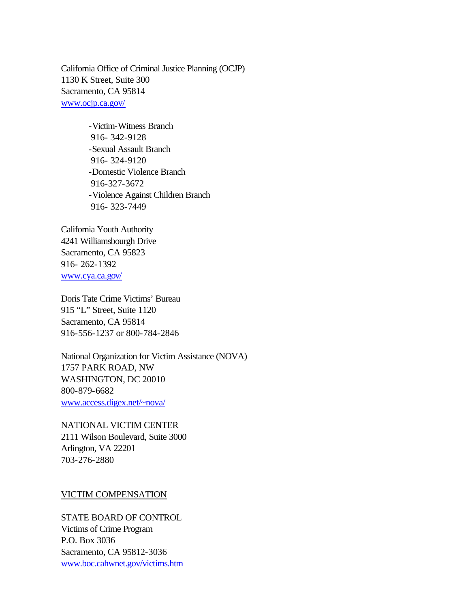California Office of Criminal Justice Planning (OCJP) 1130 K Street, Suite 300 Sacramento, CA 95814 www.ocjp.ca.gov/

> -Victim-Witness Branch 916- 342-9128 -Sexual Assault Branch 916- 324-9120 -Domestic Violence Branch 916-327-3672 -Violence Against Children Branch 916- 323-7449

California Youth Authority 4241 Williamsbourgh Drive Sacramento, CA 95823 916- 262-1392 www.cya.ca.gov/

Doris Tate Crime Victims' Bureau 915 "L" Street, Suite 1120 Sacramento, CA 95814 916-556-1237 or 800-784-2846

National Organization for Victim Assistance (NOVA) 1757 PARK ROAD, NW WASHINGTON, DC 20010 800-879-6682 www.access.digex.net/~nova/

NATIONAL VICTIM CENTER 2111 Wilson Boulevard, Suite 3000 Arlington, VA 22201 703-276-2880

## VICTIM COMPENSATION

STATE BOARD OF CONTROL Victims of Crime Program P.O. Box 3036 Sacramento, CA 95812-3036 www.boc.cahwnet.gov/victims.htm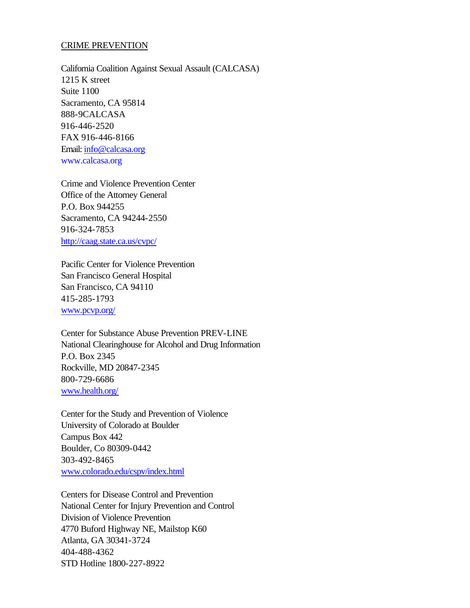## CRIME PREVENTION

California Coalition Against Sexual Assault (CALCASA) 1215 K street Suite 1100 Sacramento, CA 95814 888-9CALCASA 916-446-2520 FAX 916-446-8166 Email: info@calcasa.org www.calcasa.org

Crime and Violence Prevention Center Office of the Attorney General P.O. Box 944255 Sacramento, CA 94244-2550 916-324-7853 http://caag.state.ca.us/cvpc/

Pacific Center for Violence Prevention San Francisco General Hospital San Francisco, CA 94110 415-285-1793 www.pcvp.org/

Center for Substance Abuse Prevention PREV-LINE National Clearinghouse for Alcohol and Drug Information P.O. Box 2345 Rockville, MD 20847-2345 800-729-6686 www.health.org/

Center for the Study and Prevention of Violence University of Colorado at Boulder Campus Box 442 Boulder, Co 80309-0442 303-492-8465 www.colorado.edu/cspv/index.html

Centers for Disease Control and Prevention National Center for Injury Prevention and Control Division of Violence Prevention 4770 Buford Highway NE, Mailstop K60 Atlanta, GA 30341-3724 404-488-4362 STD Hotline 1800-227-8922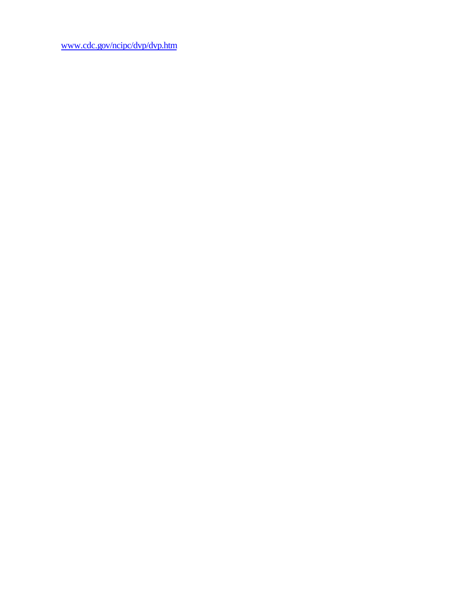www.cdc.gov/ncipc/dvp/dvp.htm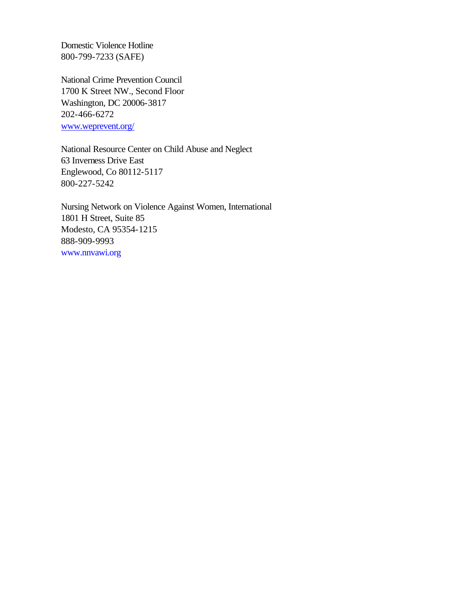Domestic Violence Hotline 800-799-7233 (SAFE)

National Crime Prevention Council 1700 K Street NW., Second Floor Washington, DC 20006-3817 202-466-6272 www.weprevent.org/

National Resource Center on Child Abuse and Neglect 63 Inverness Drive East Englewood, Co 80112-5117 800-227-5242

Nursing Network on Violence Against Women, International 1801 H Street, Suite 85 Modesto, CA 95354-1215 888-909-9993 www.nnvawi.org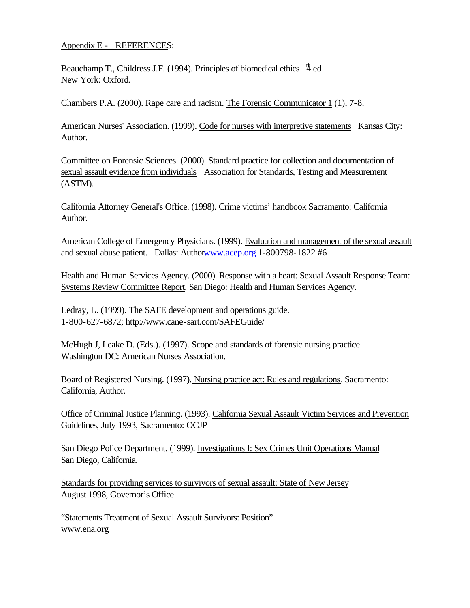# Appendix E - REFERENCES:

Beauchamp T., Childress J.F. (1994). Principles of biomedical ethics  $\frac{4}{3}$  ed New York: Oxford.

Chambers P.A. (2000). Rape care and racism. The Forensic Communicator 1 (1), 7-8.

American Nurses' Association. (1999). Code for nurses with interpretive statements Kansas City: Author.

Committee on Forensic Sciences. (2000). Standard practice for collection and documentation of sexual assault evidence from individuals Association for Standards, Testing and Measurement (ASTM).

California Attorney General's Office. (1998). Crime victims' handbook Sacramento: California Author.

American College of Emergency Physicians. (1999). Evaluation and management of the sexual assault and sexual abuse patient. Dallas: Authorwww.acep.org 1-800798-1822 #6

Health and Human Services Agency. (2000). Response with a heart: Sexual Assault Response Team: Systems Review Committee Report. San Diego: Health and Human Services Agency.

Ledray, L. (1999). The SAFE development and operations guide. 1-800-627-6872; http://www.cane-sart.com/SAFEGuide/

McHugh J, Leake D. (Eds.). (1997). Scope and standards of forensic nursing practice Washington DC: American Nurses Association.

Board of Registered Nursing. (1997). Nursing practice act: Rules and regulations. Sacramento: California, Author.

Office of Criminal Justice Planning. (1993). California Sexual Assault Victim Services and Prevention Guidelines, July 1993, Sacramento: OCJP

San Diego Police Department. (1999). Investigations I: Sex Crimes Unit Operations Manual San Diego, California.

Standards for providing services to survivors of sexual assault: State of New Jersey August 1998, Governor's Office

"Statements Treatment of Sexual Assault Survivors: Position" www.ena.org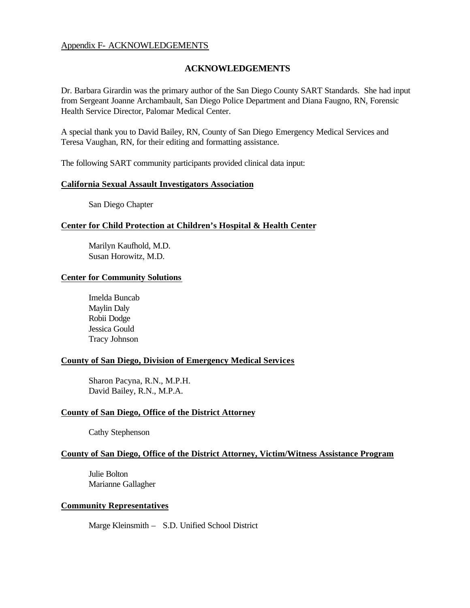## Appendix F- ACKNOWLEDGEMENTS

# **ACKNOWLEDGEMENTS**

Dr. Barbara Girardin was the primary author of the San Diego County SART Standards. She had input from Sergeant Joanne Archambault, San Diego Police Department and Diana Faugno, RN, Forensic Health Service Director, Palomar Medical Center.

A special thank you to David Bailey, RN, County of San Diego Emergency Medical Services and Teresa Vaughan, RN, for their editing and formatting assistance.

The following SART community participants provided clinical data input:

### **California Sexual Assault Investigators Association**

San Diego Chapter

## **Center for Child Protection at Children's Hospital & Health Center**

 Marilyn Kaufhold, M.D. � Susan Horowitz, M.D.

#### **Center for Community Solutions**

 Maylin Daly � Robii Dodge Jessica Gould Tracy Johnson � Imelda Buncab

## **County of San Diego, Division of Emergency Medical Services**

Sharon Pacyna, R.N., M.P.H. David Bailey, R.N., M.P.A.

### **County of San Diego, Office of the District Attorney**

Cathy Stephenson

## **County of San Diego, Office of the District Attorney, Victim/Witness Assistance Program**

Julie Bolton Marianne Gallagher

### **Community Representatives**

Marge Kleinsmith – S.D. Unified School District